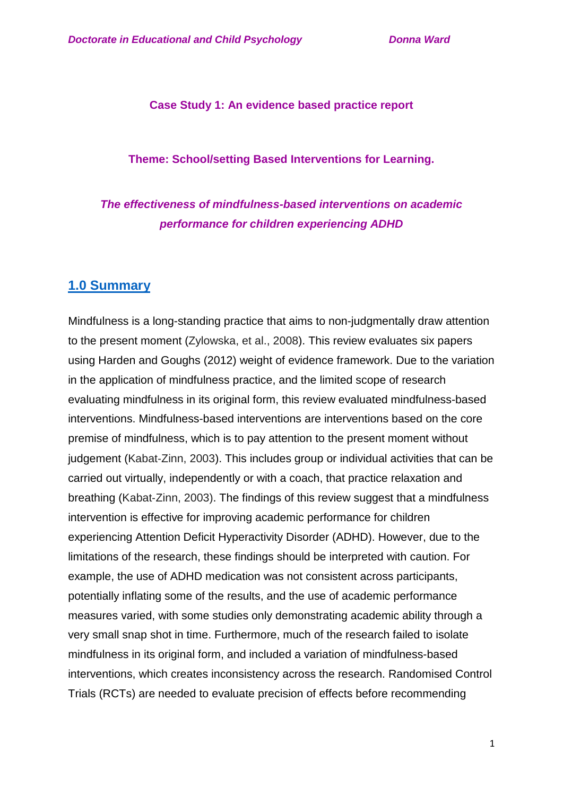#### **Case Study 1: An evidence based practice report**

#### **Theme: School/setting Based Interventions for Learning.**

# *The effectiveness of mindfulness-based interventions on academic performance for children experiencing ADHD*

#### <span id="page-0-0"></span>**[1.0 Summary](#page-0-0)**

Mindfulness is a long-standing practice that aims to non-judgmentally draw attention to the present moment (Zylowska, et al., 2008). This review evaluates six papers using Harden and Goughs (2012) weight of evidence framework. Due to the variation in the application of mindfulness practice, and the limited scope of research evaluating mindfulness in its original form, this review evaluated mindfulness-based interventions. Mindfulness-based interventions are interventions based on the core premise of mindfulness, which is to pay attention to the present moment without judgement (Kabat‐Zinn, 2003). This includes group or individual activities that can be carried out virtually, independently or with a coach, that practice relaxation and breathing (Kabat‐Zinn, 2003). The findings of this review suggest that a mindfulness intervention is effective for improving academic performance for children experiencing Attention Deficit Hyperactivity Disorder (ADHD). However, due to the limitations of the research, these findings should be interpreted with caution. For example, the use of ADHD medication was not consistent across participants, potentially inflating some of the results, and the use of academic performance measures varied, with some studies only demonstrating academic ability through a very small snap shot in time. Furthermore, much of the research failed to isolate mindfulness in its original form, and included a variation of mindfulness-based interventions, which creates inconsistency across the research. Randomised Control Trials (RCTs) are needed to evaluate precision of effects before recommending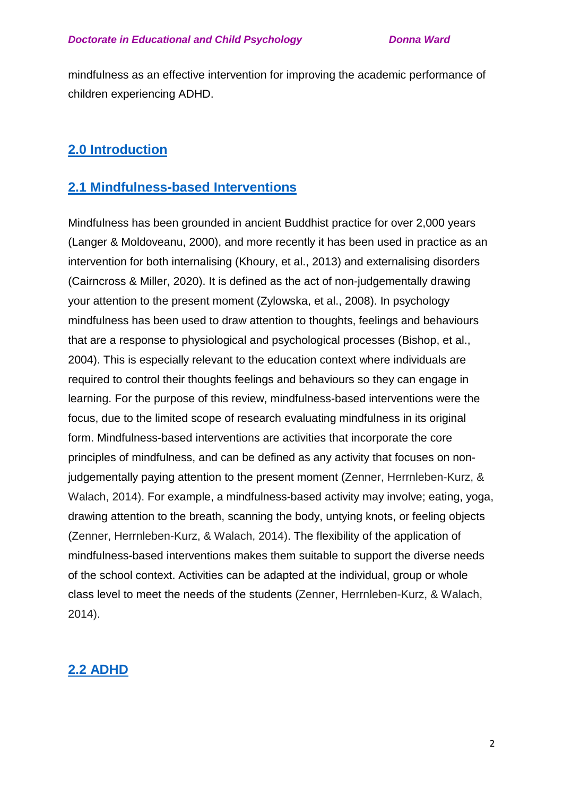mindfulness as an effective intervention for improving the academic performance of children experiencing ADHD.

## <span id="page-1-0"></span>**[2.0 Introduction](#page-1-0)**

# <span id="page-1-1"></span>**[2.1 Mindfulness-based Interventions](#page-1-1)**

Mindfulness has been grounded in ancient Buddhist practice for over 2,000 years (Langer & Moldoveanu, 2000), and more recently it has been used in practice as an intervention for both internalising (Khoury, et al., 2013) and externalising disorders (Cairncross & Miller, 2020). It is defined as the act of non-judgementally drawing your attention to the present moment (Zylowska, et al., 2008). In psychology mindfulness has been used to draw attention to thoughts, feelings and behaviours that are a response to physiological and psychological processes (Bishop, et al., 2004). This is especially relevant to the education context where individuals are required to control their thoughts feelings and behaviours so they can engage in learning. For the purpose of this review, mindfulness-based interventions were the focus, due to the limited scope of research evaluating mindfulness in its original form. Mindfulness-based interventions are activities that incorporate the core principles of mindfulness, and can be defined as any activity that focuses on nonjudgementally paying attention to the present moment (Zenner, Herrnleben-Kurz, & Walach, 2014). For example, a mindfulness-based activity may involve; eating, yoga, drawing attention to the breath, scanning the body, untying knots, or feeling objects (Zenner, Herrnleben-Kurz, & Walach, 2014). The flexibility of the application of mindfulness-based interventions makes them suitable to support the diverse needs of the school context. Activities can be adapted at the individual, group or whole class level to meet the needs of the students (Zenner, Herrnleben-Kurz, & Walach, 2014).

# <span id="page-1-2"></span>**[2.2 ADHD](#page-1-2)**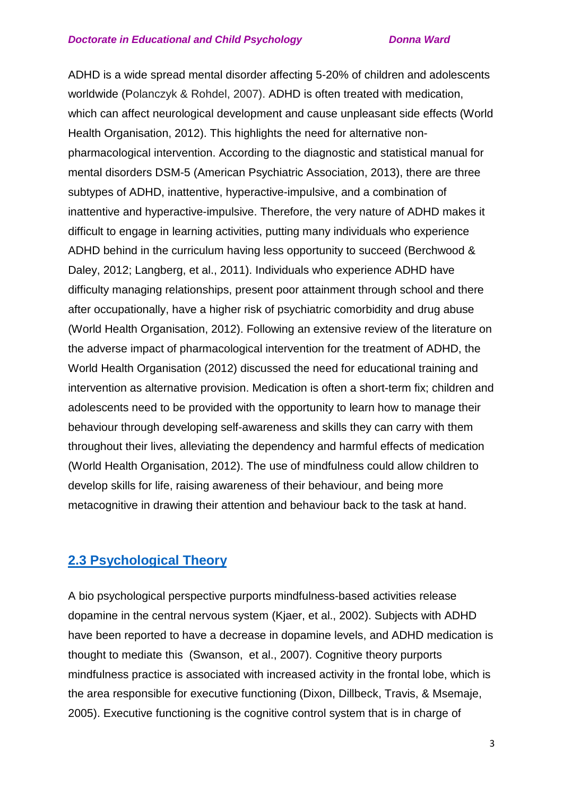#### *Doctorate in Educational and Child Psychology Donna Ward*

ADHD is a wide spread mental disorder affecting 5-20% of children and adolescents worldwide (Polanczyk & Rohdel, 2007). ADHD is often treated with medication, which can affect neurological development and cause unpleasant side effects (World Health Organisation, 2012). This highlights the need for alternative nonpharmacological intervention. According to the diagnostic and statistical manual for mental disorders DSM-5 (American Psychiatric Association, 2013), there are three subtypes of ADHD, inattentive, hyperactive-impulsive, and a combination of inattentive and hyperactive-impulsive. Therefore, the very nature of ADHD makes it difficult to engage in learning activities, putting many individuals who experience ADHD behind in the curriculum having less opportunity to succeed (Berchwood & Daley, 2012; Langberg, et al., 2011). Individuals who experience ADHD have difficulty managing relationships, present poor attainment through school and there after occupationally, have a higher risk of psychiatric comorbidity and drug abuse (World Health Organisation, 2012). Following an extensive review of the literature on the adverse impact of pharmacological intervention for the treatment of ADHD, the World Health Organisation (2012) discussed the need for educational training and intervention as alternative provision. Medication is often a short-term fix; children and adolescents need to be provided with the opportunity to learn how to manage their behaviour through developing self-awareness and skills they can carry with them throughout their lives, alleviating the dependency and harmful effects of medication (World Health Organisation, 2012). The use of mindfulness could allow children to develop skills for life, raising awareness of their behaviour, and being more metacognitive in drawing their attention and behaviour back to the task at hand.

# <span id="page-2-0"></span>**[2.3 Psychological Theory](#page-2-0)**

A bio psychological perspective purports mindfulness-based activities release dopamine in the central nervous system (Kjaer, et al., 2002). Subjects with ADHD have been reported to have a decrease in dopamine levels, and ADHD medication is thought to mediate this (Swanson, et al., 2007). Cognitive theory purports mindfulness practice is associated with increased activity in the frontal lobe, which is the area responsible for executive functioning (Dixon, Dillbeck, Travis, & Msemaje, 2005). Executive functioning is the cognitive control system that is in charge of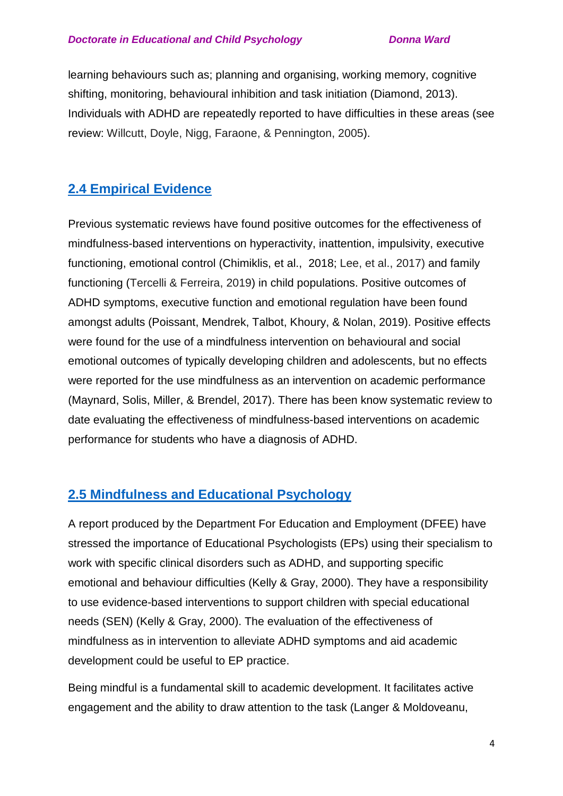learning behaviours such as; planning and organising, working memory, cognitive shifting, monitoring, behavioural inhibition and task initiation (Diamond, 2013). Individuals with ADHD are repeatedly reported to have difficulties in these areas (see review: Willcutt, Doyle, Nigg, Faraone, & Pennington, 2005).

# <span id="page-3-0"></span>**[2.4 Empirical Evidence](#page-3-0)**

Previous systematic reviews have found positive outcomes for the effectiveness of mindfulness-based interventions on hyperactivity, inattention, impulsivity, executive functioning, emotional control (Chimiklis, et al., 2018; Lee, et al., 2017) and family functioning (Tercelli & Ferreira, 2019) in child populations. Positive outcomes of ADHD symptoms, executive function and emotional regulation have been found amongst adults (Poissant, Mendrek, Talbot, Khoury, & Nolan, 2019). Positive effects were found for the use of a mindfulness intervention on behavioural and social emotional outcomes of typically developing children and adolescents, but no effects were reported for the use mindfulness as an intervention on academic performance (Maynard, Solis, Miller, & Brendel, 2017). There has been know systematic review to date evaluating the effectiveness of mindfulness-based interventions on academic performance for students who have a diagnosis of ADHD.

# <span id="page-3-1"></span>**[2.5 Mindfulness and Educational Psychology](#page-3-1)**

A report produced by the Department For Education and Employment (DFEE) have stressed the importance of Educational Psychologists (EPs) using their specialism to work with specific clinical disorders such as ADHD, and supporting specific emotional and behaviour difficulties (Kelly & Gray, 2000). They have a responsibility to use evidence-based interventions to support children with special educational needs (SEN) (Kelly & Gray, 2000). The evaluation of the effectiveness of mindfulness as in intervention to alleviate ADHD symptoms and aid academic development could be useful to EP practice.

Being mindful is a fundamental skill to academic development. It facilitates active engagement and the ability to draw attention to the task (Langer & Moldoveanu,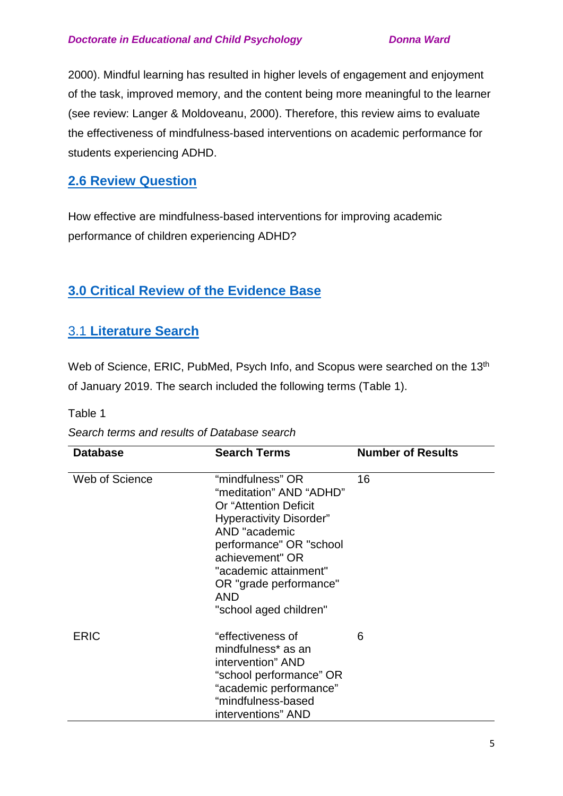2000). Mindful learning has resulted in higher levels of engagement and enjoyment of the task, improved memory, and the content being more meaningful to the learner (see review: Langer & Moldoveanu, 2000). Therefore, this review aims to evaluate the effectiveness of mindfulness-based interventions on academic performance for students experiencing ADHD.

# <span id="page-4-0"></span>**[2.6 Review Question](#page-4-0)**

How effective are mindfulness-based interventions for improving academic performance of children experiencing ADHD?

# <span id="page-4-1"></span>**[3.0 Critical Review of the Evidence Base](#page-4-1)**

# <span id="page-4-2"></span>3.1 **[Literature Search](#page-4-2)**

Web of Science, ERIC, PubMed, Psych Info, and Scopus were searched on the 13<sup>th</sup> of January 2019. The search included the following terms (Table 1).

Table 1

|  | Search terms and results of Database search |
|--|---------------------------------------------|
|--|---------------------------------------------|

| <b>Database</b> | <b>Search Terms</b>                                                                                                                                                                                                                                        | <b>Number of Results</b> |
|-----------------|------------------------------------------------------------------------------------------------------------------------------------------------------------------------------------------------------------------------------------------------------------|--------------------------|
| Web of Science  | "mindfulness" OR<br>"meditation" AND "ADHD"<br>Or "Attention Deficit"<br><b>Hyperactivity Disorder"</b><br>AND "academic<br>performance" OR "school<br>achievement" OR<br>"academic attainment"<br>OR "grade performance"<br>AND<br>"school aged children" | 16                       |
| <b>ERIC</b>     | "effectiveness of<br>mindfulness* as an<br>intervention" AND<br>"school performance" OR<br>"academic performance"<br>"mindfulness-based<br>interventions" AND                                                                                              | 6                        |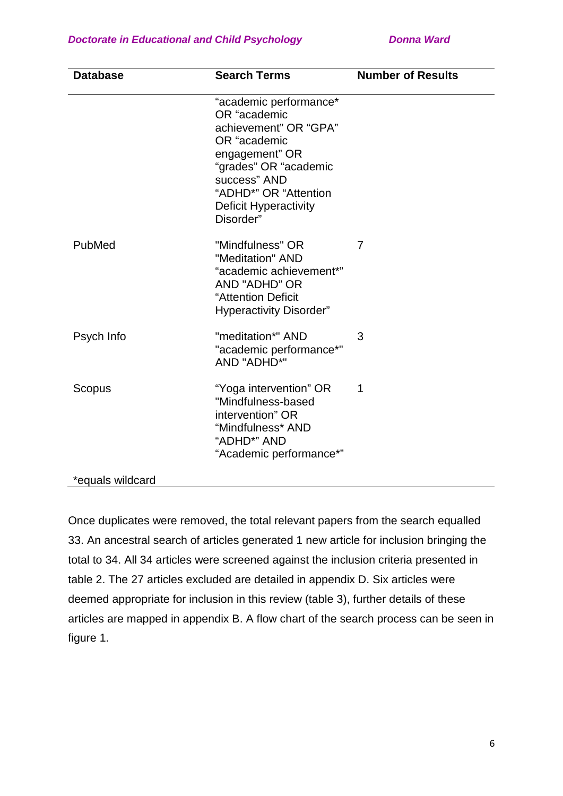#### **Doctorate in Educational and Child Psychology Child Property Donna Ward**

| <b>Database</b>  | <b>Search Terms</b>                                                                                                                                                                                              | <b>Number of Results</b> |
|------------------|------------------------------------------------------------------------------------------------------------------------------------------------------------------------------------------------------------------|--------------------------|
|                  | "academic performance*<br>OR "academic<br>achievement" OR "GPA"<br>OR "academic<br>engagement" OR<br>"grades" OR "academic<br>success" AND<br>"ADHD*" OR "Attention<br><b>Deficit Hyperactivity</b><br>Disorder" |                          |
| PubMed           | "Mindfulness" OR<br>"Meditation" AND<br>"academic achievement*"<br>AND "ADHD" OR<br>"Attention Deficit<br><b>Hyperactivity Disorder"</b>                                                                         | 7                        |
| Psych Info       | "meditation*" AND<br>"academic performance*"<br>AND "ADHD*"                                                                                                                                                      | 3                        |
| Scopus           | "Yoga intervention" OR<br>"Mindfulness-based<br>intervention" OR<br>"Mindfulness* AND<br>"ADHD*" AND<br>"Academic performance*"                                                                                  | 1                        |
| *equals wildcard |                                                                                                                                                                                                                  |                          |

Once duplicates were removed, the total relevant papers from the search equalled 33. An ancestral search of articles generated 1 new article for inclusion bringing the total to 34. All 34 articles were screened against the inclusion criteria presented in table 2. The 27 articles excluded are detailed in appendix D. Six articles were deemed appropriate for inclusion in this review (table 3), further details of these articles are mapped in appendix B. A flow chart of the search process can be seen in figure 1.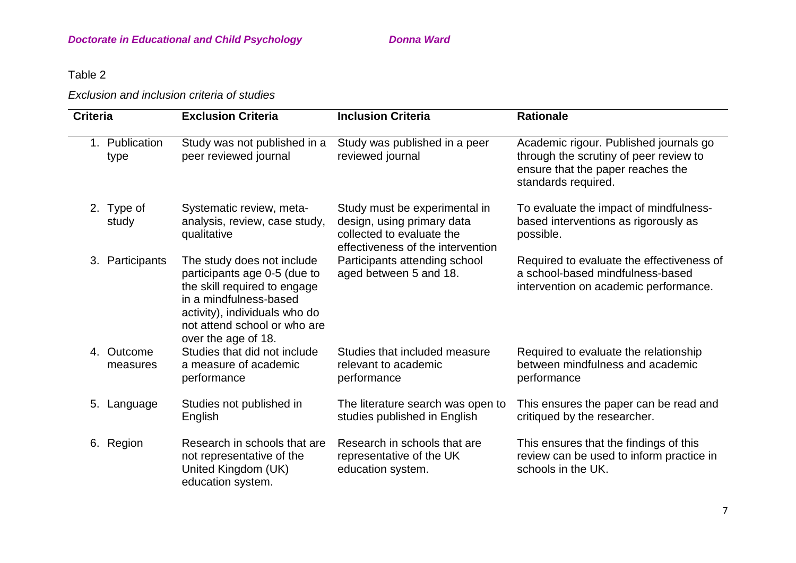### Table 2

### *Exclusion and inclusion criteria of studies*

| <b>Criteria</b>        | <b>Exclusion Criteria</b>                                                                                                                                                                                    | <b>Inclusion Criteria</b>                                                                                                     | <b>Rationale</b>                                                                                                                             |
|------------------------|--------------------------------------------------------------------------------------------------------------------------------------------------------------------------------------------------------------|-------------------------------------------------------------------------------------------------------------------------------|----------------------------------------------------------------------------------------------------------------------------------------------|
| 1. Publication<br>type | Study was not published in a<br>peer reviewed journal                                                                                                                                                        | Study was published in a peer<br>reviewed journal                                                                             | Academic rigour. Published journals go<br>through the scrutiny of peer review to<br>ensure that the paper reaches the<br>standards required. |
| 2. Type of<br>study    | Systematic review, meta-<br>analysis, review, case study,<br>qualitative                                                                                                                                     | Study must be experimental in<br>design, using primary data<br>collected to evaluate the<br>effectiveness of the intervention | To evaluate the impact of mindfulness-<br>based interventions as rigorously as<br>possible.                                                  |
| 3. Participants        | The study does not include<br>participants age 0-5 (due to<br>the skill required to engage<br>in a mindfulness-based<br>activity), individuals who do<br>not attend school or who are<br>over the age of 18. | Participants attending school<br>aged between 5 and 18.                                                                       | Required to evaluate the effectiveness of<br>a school-based mindfulness-based<br>intervention on academic performance.                       |
| 4. Outcome<br>measures | Studies that did not include<br>a measure of academic<br>performance                                                                                                                                         | Studies that included measure<br>relevant to academic<br>performance                                                          | Required to evaluate the relationship<br>between mindfulness and academic<br>performance                                                     |
| 5. Language            | Studies not published in<br>English                                                                                                                                                                          | The literature search was open to<br>studies published in English                                                             | This ensures the paper can be read and<br>critiqued by the researcher.                                                                       |
| 6. Region              | Research in schools that are<br>not representative of the<br>United Kingdom (UK)<br>education system.                                                                                                        | Research in schools that are<br>representative of the UK<br>education system.                                                 | This ensures that the findings of this<br>review can be used to inform practice in<br>schools in the UK.                                     |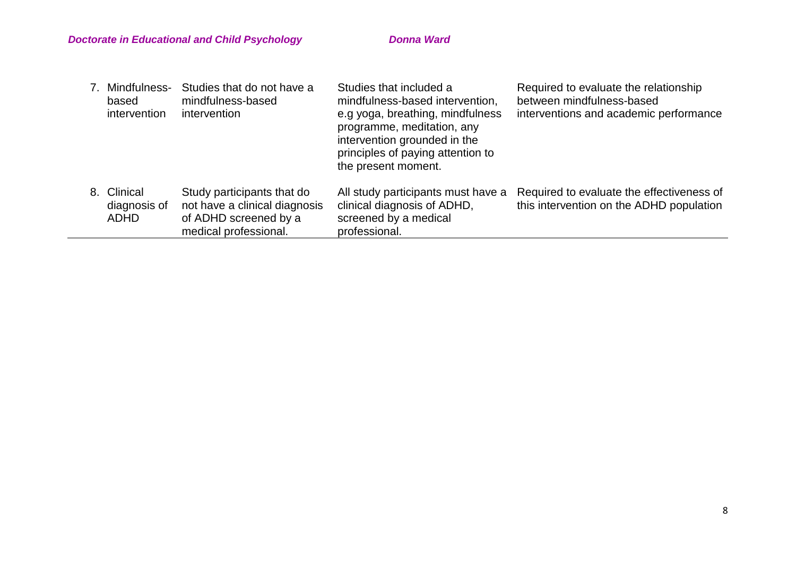| Mindfulness-<br>based<br>intervention      | Studies that do not have a<br>mindfulness-based<br>intervention                                               | Studies that included a<br>mindfulness-based intervention,<br>e.g yoga, breathing, mindfulness<br>programme, meditation, any<br>intervention grounded in the<br>principles of paying attention to<br>the present moment. | Required to evaluate the relationship<br>between mindfulness-based<br>interventions and academic performance |
|--------------------------------------------|---------------------------------------------------------------------------------------------------------------|--------------------------------------------------------------------------------------------------------------------------------------------------------------------------------------------------------------------------|--------------------------------------------------------------------------------------------------------------|
| 8. Clinical<br>diagnosis of<br><b>ADHD</b> | Study participants that do<br>not have a clinical diagnosis<br>of ADHD screened by a<br>medical professional. | All study participants must have a<br>clinical diagnosis of ADHD,<br>screened by a medical<br>professional.                                                                                                              | Required to evaluate the effectiveness of<br>this intervention on the ADHD population                        |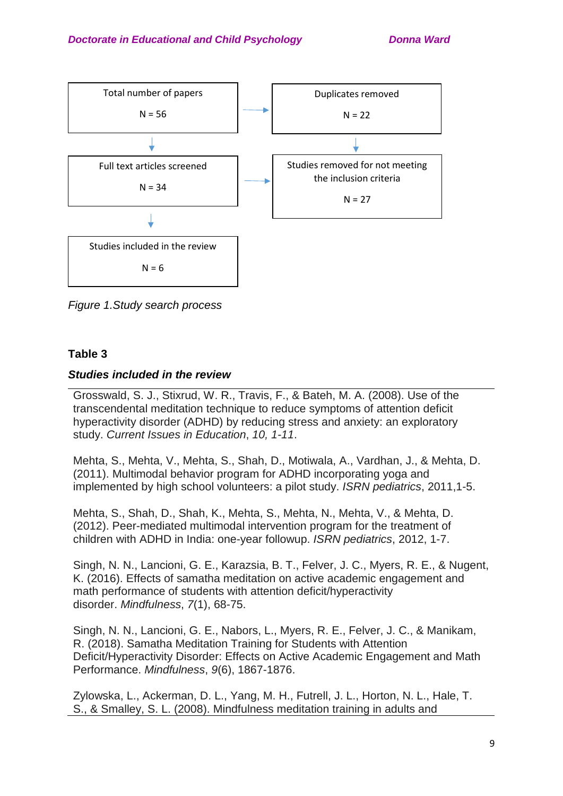

*Figure 1.Study search process* 

### **Table 3**

#### *Studies included in the review*

Grosswald, S. J., Stixrud, W. R., Travis, F., & Bateh, M. A. (2008). Use of the transcendental meditation technique to reduce symptoms of attention deficit hyperactivity disorder (ADHD) by reducing stress and anxiety: an exploratory study. *Current Issues in Education*, *10, 1-11*.

Mehta, S., Mehta, V., Mehta, S., Shah, D., Motiwala, A., Vardhan, J., & Mehta, D. (2011). Multimodal behavior program for ADHD incorporating yoga and implemented by high school volunteers: a pilot study. *ISRN pediatrics*, 2011,1-5.

Mehta, S., Shah, D., Shah, K., Mehta, S., Mehta, N., Mehta, V., & Mehta, D. (2012). Peer-mediated multimodal intervention program for the treatment of children with ADHD in India: one-year followup. *ISRN pediatrics*, 2012, 1-7.

Singh, N. N., Lancioni, G. E., Karazsia, B. T., Felver, J. C., Myers, R. E., & Nugent, K. (2016). Effects of samatha meditation on active academic engagement and math performance of students with attention deficit/hyperactivity disorder. *Mindfulness*, *7*(1), 68-75.

Singh, N. N., Lancioni, G. E., Nabors, L., Myers, R. E., Felver, J. C., & Manikam, R. (2018). Samatha Meditation Training for Students with Attention Deficit/Hyperactivity Disorder: Effects on Active Academic Engagement and Math Performance. *Mindfulness*, *9*(6), 1867-1876.

Zylowska, L., Ackerman, D. L., Yang, M. H., Futrell, J. L., Horton, N. L., Hale, T. S., & Smalley, S. L. (2008). Mindfulness meditation training in adults and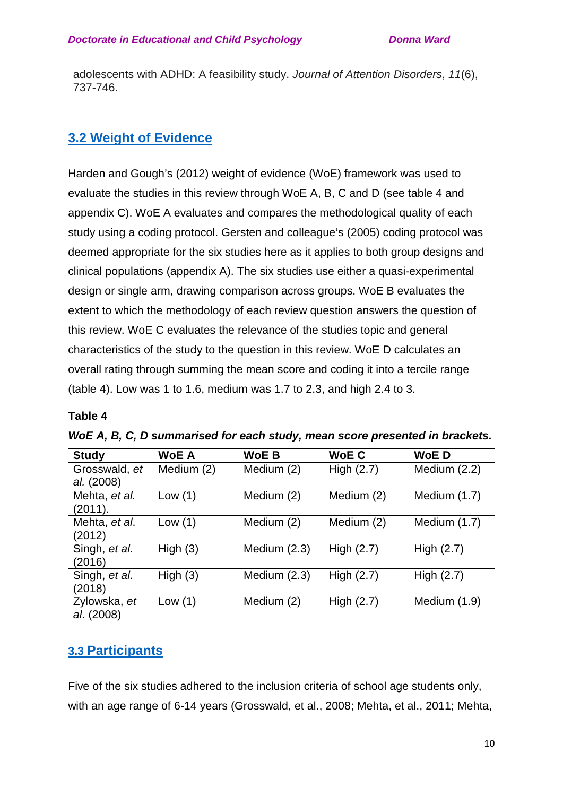adolescents with ADHD: A feasibility study. *Journal of Attention Disorders*, *11*(6), 737-746.

# <span id="page-9-0"></span>**[3.2 Weight of Evidence](#page-9-0)**

Harden and Gough's (2012) weight of evidence (WoE) framework was used to evaluate the studies in this review through WoE A, B, C and D (see table 4 and appendix C). WoE A evaluates and compares the methodological quality of each study using a coding protocol. Gersten and colleague's (2005) coding protocol was deemed appropriate for the six studies here as it applies to both group designs and clinical populations (appendix A). The six studies use either a quasi-experimental design or single arm, drawing comparison across groups. WoE B evaluates the extent to which the methodology of each review question answers the question of this review. WoE C evaluates the relevance of the studies topic and general characteristics of the study to the question in this review. WoE D calculates an overall rating through summing the mean score and coding it into a tercile range (table 4). Low was 1 to 1.6, medium was 1.7 to 2.3, and high 2.4 to 3.

#### **Table 4**

| <b>Study</b>  | <b>WoE A</b> | <b>WoE B</b>   | <b>WoE C</b> | WoE D        |
|---------------|--------------|----------------|--------------|--------------|
| Grosswald, et | Medium (2)   | Medium (2)     | High $(2.7)$ | Medium (2.2) |
| al. (2008)    |              |                |              |              |
| Mehta, et al. | Low $(1)$    | Medium (2)     | Medium (2)   | Medium (1.7) |
| (2011).       |              |                |              |              |
| Mehta, et al. | Low $(1)$    | Medium (2)     | Medium (2)   | Medium (1.7) |
| (2012)        |              |                |              |              |
| Singh, et al. | High $(3)$   | Medium $(2.3)$ | High $(2.7)$ | High $(2.7)$ |
| (2016)        |              |                |              |              |
| Singh, et al. | High(3)      | Medium (2.3)   | High $(2.7)$ | High $(2.7)$ |
| (2018)        |              |                |              |              |
| Zylowska, et  | Low $(1)$    | Medium (2)     | High $(2.7)$ | Medium (1.9) |
| al. (2008)    |              |                |              |              |

*WoE A, B, C, D summarised for each study, mean score presented in brackets.*

# <span id="page-9-1"></span>**[3.3 Participants](#page-9-1)**

Five of the six studies adhered to the inclusion criteria of school age students only, with an age range of 6-14 years (Grosswald, et al., 2008; Mehta, et al., 2011; Mehta,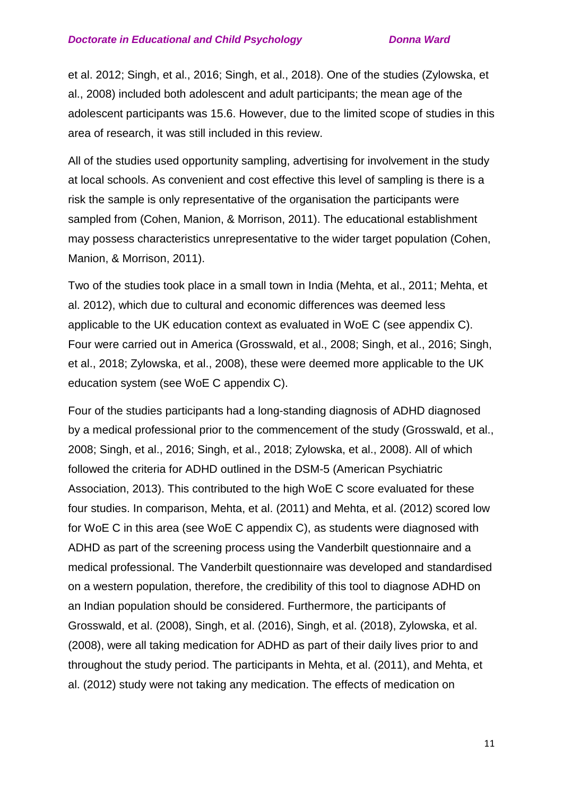#### *Doctorate in Educational and Child Psychology Donna Ward*

et al. 2012; Singh, et al., 2016; Singh, et al., 2018). One of the studies (Zylowska, et al., 2008) included both adolescent and adult participants; the mean age of the adolescent participants was 15.6. However, due to the limited scope of studies in this area of research, it was still included in this review.

All of the studies used opportunity sampling, advertising for involvement in the study at local schools. As convenient and cost effective this level of sampling is there is a risk the sample is only representative of the organisation the participants were sampled from (Cohen, Manion, & Morrison, 2011). The educational establishment may possess characteristics unrepresentative to the wider target population (Cohen, Manion, & Morrison, 2011).

Two of the studies took place in a small town in India (Mehta, et al., 2011; Mehta, et al. 2012), which due to cultural and economic differences was deemed less applicable to the UK education context as evaluated in WoE C (see appendix C). Four were carried out in America (Grosswald, et al., 2008; Singh, et al., 2016; Singh, et al., 2018; Zylowska, et al., 2008), these were deemed more applicable to the UK education system (see WoE C appendix C).

Four of the studies participants had a long-standing diagnosis of ADHD diagnosed by a medical professional prior to the commencement of the study (Grosswald, et al., 2008; Singh, et al., 2016; Singh, et al., 2018; Zylowska, et al., 2008). All of which followed the criteria for ADHD outlined in the DSM-5 (American Psychiatric Association, 2013). This contributed to the high WoE C score evaluated for these four studies. In comparison, Mehta, et al. (2011) and Mehta, et al. (2012) scored low for WoE C in this area (see WoE C appendix C), as students were diagnosed with ADHD as part of the screening process using the Vanderbilt questionnaire and a medical professional. The Vanderbilt questionnaire was developed and standardised on a western population, therefore, the credibility of this tool to diagnose ADHD on an Indian population should be considered. Furthermore, the participants of Grosswald, et al. (2008), Singh, et al. (2016), Singh, et al. (2018), Zylowska, et al. (2008), were all taking medication for ADHD as part of their daily lives prior to and throughout the study period. The participants in Mehta, et al. (2011), and Mehta, et al. (2012) study were not taking any medication. The effects of medication on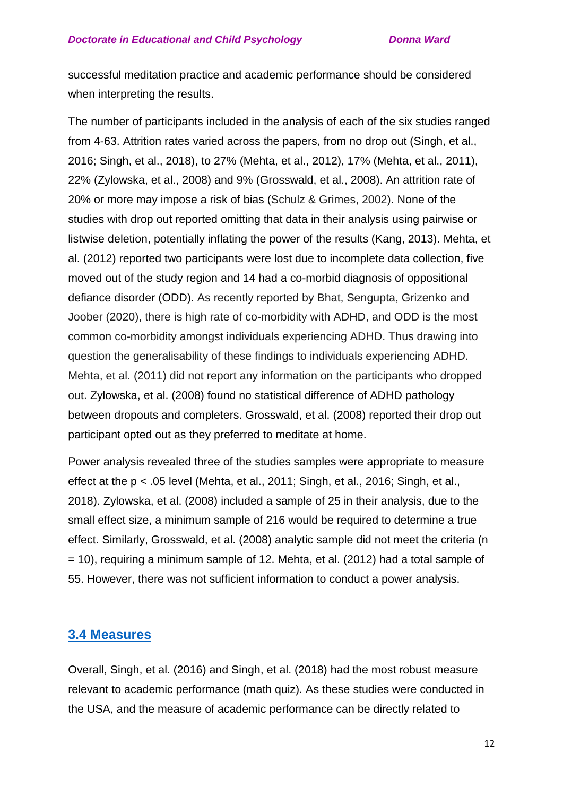successful meditation practice and academic performance should be considered when interpreting the results.

The number of participants included in the analysis of each of the six studies ranged from 4-63. Attrition rates varied across the papers, from no drop out (Singh, et al., 2016; Singh, et al., 2018), to 27% (Mehta, et al., 2012), 17% (Mehta, et al., 2011), 22% (Zylowska, et al., 2008) and 9% (Grosswald, et al., 2008). An attrition rate of 20% or more may impose a risk of bias (Schulz & Grimes, 2002). None of the studies with drop out reported omitting that data in their analysis using pairwise or listwise deletion, potentially inflating the power of the results (Kang, 2013). Mehta, et al. (2012) reported two participants were lost due to incomplete data collection, five moved out of the study region and 14 had a co-morbid diagnosis of oppositional defiance disorder (ODD). As recently reported by Bhat, Sengupta, Grizenko and Joober (2020), there is high rate of co-morbidity with ADHD, and ODD is the most common co-morbidity amongst individuals experiencing ADHD. Thus drawing into question the generalisability of these findings to individuals experiencing ADHD. Mehta, et al. (2011) did not report any information on the participants who dropped out. Zylowska, et al. (2008) found no statistical difference of ADHD pathology between dropouts and completers. Grosswald, et al. (2008) reported their drop out participant opted out as they preferred to meditate at home.

Power analysis revealed three of the studies samples were appropriate to measure effect at the p < .05 level (Mehta, et al., 2011; Singh, et al., 2016; Singh, et al., 2018). Zylowska, et al. (2008) included a sample of 25 in their analysis, due to the small effect size, a minimum sample of 216 would be required to determine a true effect. Similarly, Grosswald, et al. (2008) analytic sample did not meet the criteria (n = 10), requiring a minimum sample of 12. Mehta, et al. (2012) had a total sample of 55. However, there was not sufficient information to conduct a power analysis.

# <span id="page-11-0"></span>**[3.4 Measures](#page-11-0)**

Overall, Singh, et al. (2016) and Singh, et al. (2018) had the most robust measure relevant to academic performance (math quiz). As these studies were conducted in the USA, and the measure of academic performance can be directly related to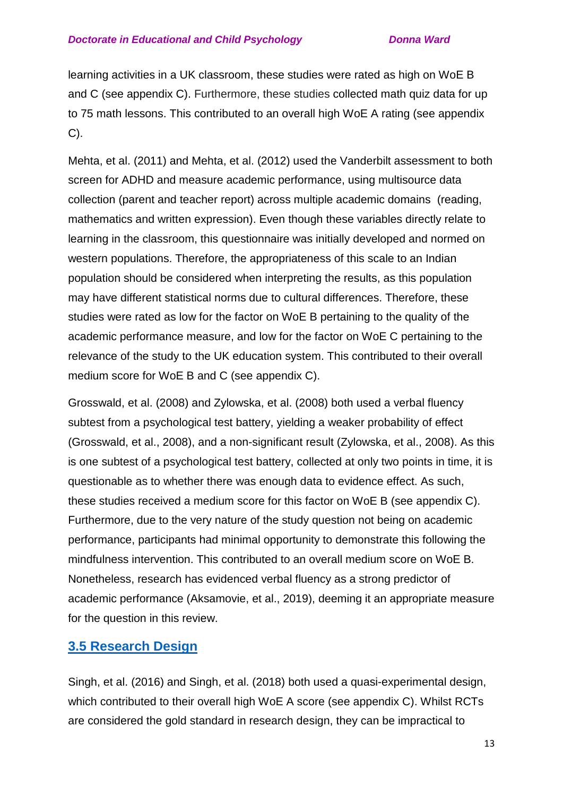learning activities in a UK classroom, these studies were rated as high on WoE B and C (see appendix C). Furthermore, these studies collected math quiz data for up to 75 math lessons. This contributed to an overall high WoE A rating (see appendix C).

Mehta, et al. (2011) and Mehta, et al. (2012) used the Vanderbilt assessment to both screen for ADHD and measure academic performance, using multisource data collection (parent and teacher report) across multiple academic domains (reading, mathematics and written expression). Even though these variables directly relate to learning in the classroom, this questionnaire was initially developed and normed on western populations. Therefore, the appropriateness of this scale to an Indian population should be considered when interpreting the results, as this population may have different statistical norms due to cultural differences. Therefore, these studies were rated as low for the factor on WoE B pertaining to the quality of the academic performance measure, and low for the factor on WoE C pertaining to the relevance of the study to the UK education system. This contributed to their overall medium score for WoE B and C (see appendix C).

Grosswald, et al. (2008) and Zylowska, et al. (2008) both used a verbal fluency subtest from a psychological test battery, yielding a weaker probability of effect (Grosswald, et al., 2008), and a non-significant result (Zylowska, et al., 2008). As this is one subtest of a psychological test battery, collected at only two points in time, it is questionable as to whether there was enough data to evidence effect. As such, these studies received a medium score for this factor on WoE B (see appendix C). Furthermore, due to the very nature of the study question not being on academic performance, participants had minimal opportunity to demonstrate this following the mindfulness intervention. This contributed to an overall medium score on WoE B. Nonetheless, research has evidenced verbal fluency as a strong predictor of academic performance (Aksamovie, et al., 2019), deeming it an appropriate measure for the question in this review.

## <span id="page-12-0"></span>**[3.5 Research Design](#page-12-0)**

Singh, et al. (2016) and Singh, et al. (2018) both used a quasi-experimental design, which contributed to their overall high WoE A score (see appendix C). Whilst RCTs are considered the gold standard in research design, they can be impractical to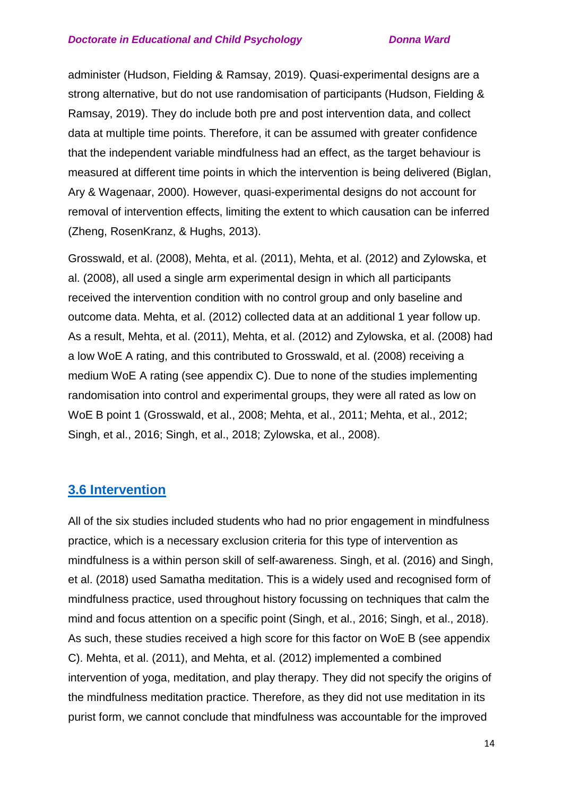#### *Doctorate in Educational and Child Psychology Donna Ward*

administer (Hudson, Fielding & Ramsay, 2019). Quasi-experimental designs are a strong alternative, but do not use randomisation of participants (Hudson, Fielding & Ramsay, 2019). They do include both pre and post intervention data, and collect data at multiple time points. Therefore, it can be assumed with greater confidence that the independent variable mindfulness had an effect, as the target behaviour is measured at different time points in which the intervention is being delivered (Biglan, Ary & Wagenaar, 2000). However, quasi-experimental designs do not account for removal of intervention effects, limiting the extent to which causation can be inferred (Zheng, RosenKranz, & Hughs, 2013).

Grosswald, et al. (2008), Mehta, et al. (2011), Mehta, et al. (2012) and Zylowska, et al. (2008), all used a single arm experimental design in which all participants received the intervention condition with no control group and only baseline and outcome data. Mehta, et al. (2012) collected data at an additional 1 year follow up. As a result, Mehta, et al. (2011), Mehta, et al. (2012) and Zylowska, et al. (2008) had a low WoE A rating, and this contributed to Grosswald, et al. (2008) receiving a medium WoE A rating (see appendix C). Due to none of the studies implementing randomisation into control and experimental groups, they were all rated as low on WoE B point 1 (Grosswald, et al., 2008; Mehta, et al., 2011; Mehta, et al., 2012; Singh, et al., 2016; Singh, et al., 2018; Zylowska, et al., 2008).

### <span id="page-13-0"></span>**[3.6 Intervention](#page-13-0)**

All of the six studies included students who had no prior engagement in mindfulness practice, which is a necessary exclusion criteria for this type of intervention as mindfulness is a within person skill of self-awareness. Singh, et al. (2016) and Singh, et al. (2018) used Samatha meditation. This is a widely used and recognised form of mindfulness practice, used throughout history focussing on techniques that calm the mind and focus attention on a specific point (Singh, et al., 2016; Singh, et al., 2018). As such, these studies received a high score for this factor on WoE B (see appendix C). Mehta, et al. (2011), and Mehta, et al. (2012) implemented a combined intervention of yoga, meditation, and play therapy. They did not specify the origins of the mindfulness meditation practice. Therefore, as they did not use meditation in its purist form, we cannot conclude that mindfulness was accountable for the improved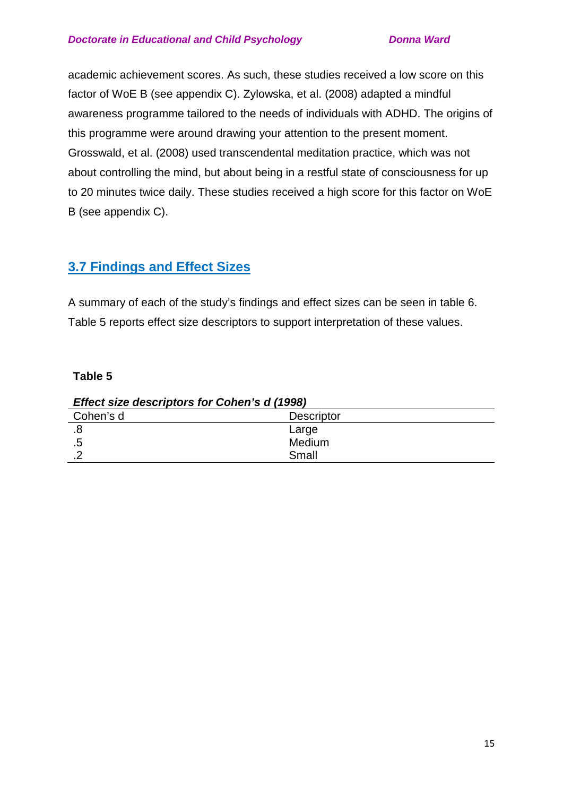academic achievement scores. As such, these studies received a low score on this factor of WoE B (see appendix C). Zylowska, et al. (2008) adapted a mindful awareness programme tailored to the needs of individuals with ADHD. The origins of this programme were around drawing your attention to the present moment. Grosswald, et al. (2008) used transcendental meditation practice, which was not about controlling the mind, but about being in a restful state of consciousness for up to 20 minutes twice daily. These studies received a high score for this factor on WoE B (see appendix C).

# <span id="page-14-0"></span>**[3.7 Findings and Effect Sizes](#page-14-0)**

A summary of each of the study's findings and effect sizes can be seen in table 6. Table 5 reports effect size descriptors to support interpretation of these values.

### **Table 5**

| Effect size descriptors for Cohen's d (1998) |                   |  |
|----------------------------------------------|-------------------|--|
| Cohen's d                                    | <b>Descriptor</b> |  |
|                                              | Large             |  |
|                                              | Medium            |  |
|                                              | Small             |  |
|                                              |                   |  |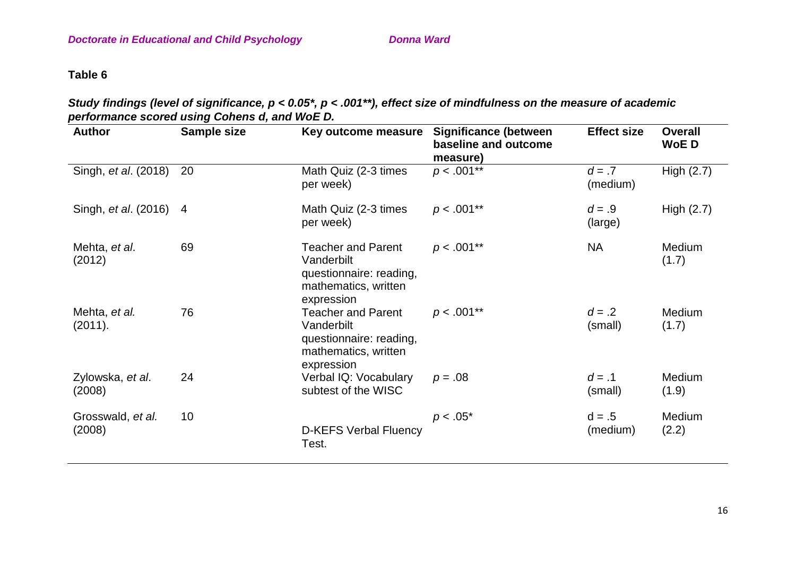### **Table 6**

*Study findings (level of significance, p < 0.05\*, p < .001\*\*), effect size of mindfulness on the measure of academic performance scored using Cohens d, and WoE D.*

| <b>Author</b>               | Sample size     | Key outcome measure                                                                                      | <b>Significance (between</b><br>baseline and outcome<br>measure) | <b>Effect size</b>   | <b>Overall</b><br><b>WoED</b> |
|-----------------------------|-----------------|----------------------------------------------------------------------------------------------------------|------------------------------------------------------------------|----------------------|-------------------------------|
| Singh, et al. (2018)        | 20              | Math Quiz (2-3 times<br>per week)                                                                        | $p < .001**$                                                     | $d = .7$<br>(medium) | High (2.7)                    |
| Singh, et al. (2016) 4      |                 | Math Quiz (2-3 times<br>per week)                                                                        | $p < .001**$                                                     | $d = .9$<br>(large)  | High $(2.7)$                  |
| Mehta, et al.<br>(2012)     | 69              | <b>Teacher and Parent</b><br>Vanderbilt<br>questionnaire: reading,<br>mathematics, written<br>expression | $p < .001**$                                                     | <b>NA</b>            | Medium<br>(1.7)               |
| Mehta, et al.<br>(2011).    | 76              | <b>Teacher and Parent</b><br>Vanderbilt<br>questionnaire: reading,<br>mathematics, written<br>expression | $p < .001**$                                                     | $d = .2$<br>(small)  | Medium<br>(1.7)               |
| Zylowska, et al.<br>(2008)  | 24              | Verbal IQ: Vocabulary<br>subtest of the WISC                                                             | $p = .08$                                                        | $d = .1$<br>(small)  | Medium<br>(1.9)               |
| Grosswald, et al.<br>(2008) | 10 <sup>°</sup> | <b>D-KEFS Verbal Fluency</b><br>Test.                                                                    | $p < .05^*$                                                      | $d = .5$<br>(medium) | Medium<br>(2.2)               |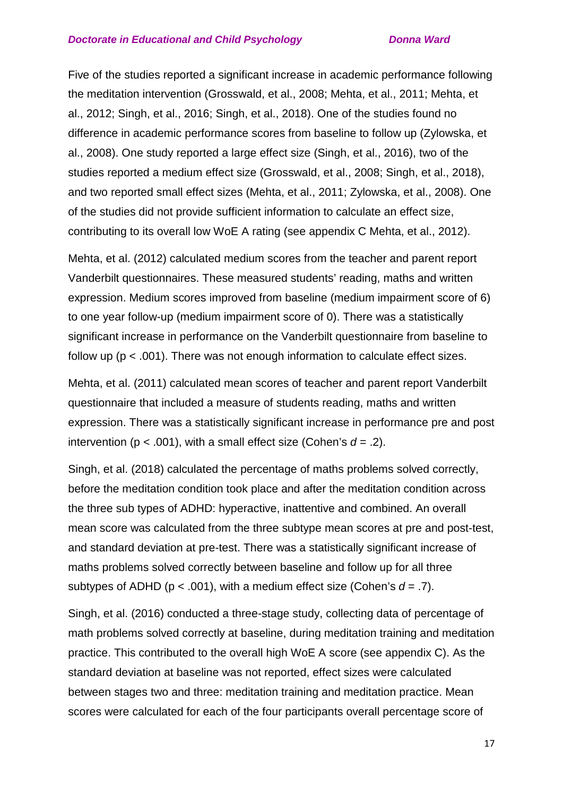#### *Doctorate in Educational and Child Psychology Donna Ward*

Five of the studies reported a significant increase in academic performance following the meditation intervention (Grosswald, et al., 2008; Mehta, et al., 2011; Mehta, et al., 2012; Singh, et al., 2016; Singh, et al., 2018). One of the studies found no difference in academic performance scores from baseline to follow up (Zylowska, et al., 2008). One study reported a large effect size (Singh, et al., 2016), two of the studies reported a medium effect size (Grosswald, et al., 2008; Singh, et al., 2018), and two reported small effect sizes (Mehta, et al., 2011; Zylowska, et al., 2008). One of the studies did not provide sufficient information to calculate an effect size, contributing to its overall low WoE A rating (see appendix C Mehta, et al., 2012).

Mehta, et al. (2012) calculated medium scores from the teacher and parent report Vanderbilt questionnaires. These measured students' reading, maths and written expression. Medium scores improved from baseline (medium impairment score of 6) to one year follow-up (medium impairment score of 0). There was a statistically significant increase in performance on the Vanderbilt questionnaire from baseline to follow up ( $p < .001$ ). There was not enough information to calculate effect sizes.

Mehta, et al. (2011) calculated mean scores of teacher and parent report Vanderbilt questionnaire that included a measure of students reading, maths and written expression. There was a statistically significant increase in performance pre and post intervention ( $p < .001$ ), with a small effect size (Cohen's  $d = .2$ ).

Singh, et al. (2018) calculated the percentage of maths problems solved correctly, before the meditation condition took place and after the meditation condition across the three sub types of ADHD: hyperactive, inattentive and combined. An overall mean score was calculated from the three subtype mean scores at pre and post-test, and standard deviation at pre-test. There was a statistically significant increase of maths problems solved correctly between baseline and follow up for all three subtypes of ADHD (p < .001), with a medium effect size (Cohen's *d* = .7).

Singh, et al. (2016) conducted a three-stage study, collecting data of percentage of math problems solved correctly at baseline, during meditation training and meditation practice. This contributed to the overall high WoE A score (see appendix C). As the standard deviation at baseline was not reported, effect sizes were calculated between stages two and three: meditation training and meditation practice. Mean scores were calculated for each of the four participants overall percentage score of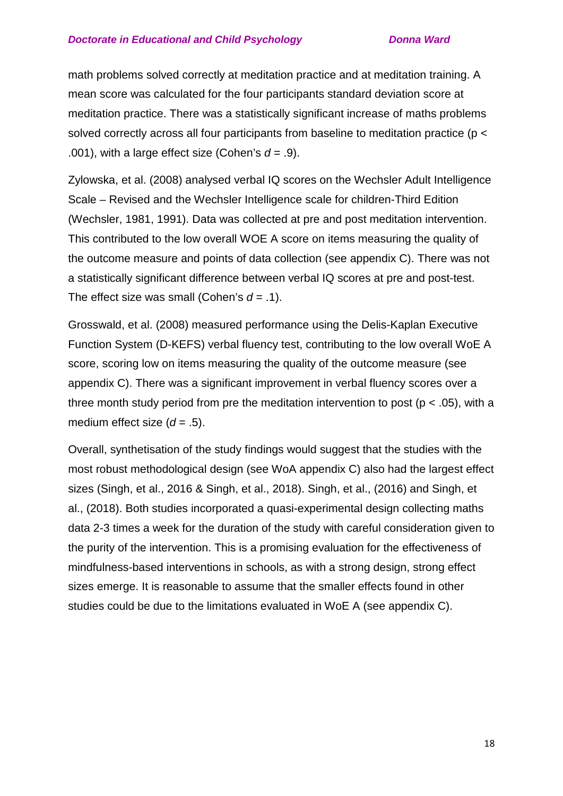#### *Doctorate in Educational and Child Psychology Donna Ward*

math problems solved correctly at meditation practice and at meditation training. A mean score was calculated for the four participants standard deviation score at meditation practice. There was a statistically significant increase of maths problems solved correctly across all four participants from baseline to meditation practice (p < .001), with a large effect size (Cohen's  $d = .9$ ).

Zylowska, et al. (2008) analysed verbal IQ scores on the Wechsler Adult Intelligence Scale – Revised and the Wechsler Intelligence scale for children-Third Edition (Wechsler, 1981, 1991). Data was collected at pre and post meditation intervention. This contributed to the low overall WOE A score on items measuring the quality of the outcome measure and points of data collection (see appendix C). There was not a statistically significant difference between verbal IQ scores at pre and post-test. The effect size was small (Cohen's  $d = .1$ ).

Grosswald, et al. (2008) measured performance using the Delis-Kaplan Executive Function System (D-KEFS) verbal fluency test, contributing to the low overall WoE A score, scoring low on items measuring the quality of the outcome measure (see appendix C). There was a significant improvement in verbal fluency scores over a three month study period from pre the meditation intervention to post ( $p < .05$ ), with a medium effect size (*d* = .5).

Overall, synthetisation of the study findings would suggest that the studies with the most robust methodological design (see WoA appendix C) also had the largest effect sizes (Singh, et al., 2016 & Singh, et al., 2018). Singh, et al., (2016) and Singh, et al., (2018). Both studies incorporated a quasi-experimental design collecting maths data 2-3 times a week for the duration of the study with careful consideration given to the purity of the intervention. This is a promising evaluation for the effectiveness of mindfulness-based interventions in schools, as with a strong design, strong effect sizes emerge. It is reasonable to assume that the smaller effects found in other studies could be due to the limitations evaluated in WoE A (see appendix C).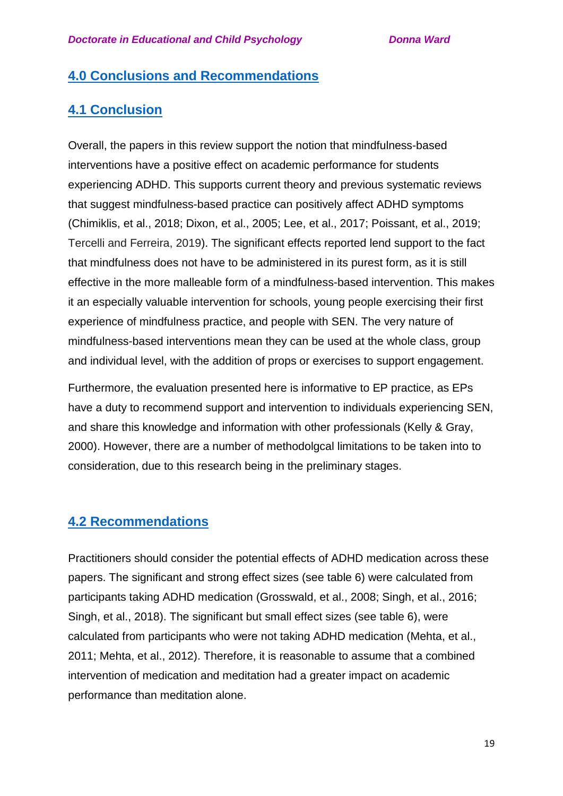## <span id="page-18-1"></span><span id="page-18-0"></span>**[4.0 Conclusions and Recommendations](#page-18-0)**

# **[4.1 Conclusion](#page-18-1)**

Overall, the papers in this review support the notion that mindfulness-based interventions have a positive effect on academic performance for students experiencing ADHD. This supports current theory and previous systematic reviews that suggest mindfulness-based practice can positively affect ADHD symptoms (Chimiklis, et al., 2018; Dixon, et al., 2005; Lee, et al., 2017; Poissant, et al., 2019; Tercelli and Ferreira, 2019). The significant effects reported lend support to the fact that mindfulness does not have to be administered in its purest form, as it is still effective in the more malleable form of a mindfulness-based intervention. This makes it an especially valuable intervention for schools, young people exercising their first experience of mindfulness practice, and people with SEN. The very nature of mindfulness-based interventions mean they can be used at the whole class, group and individual level, with the addition of props or exercises to support engagement.

Furthermore, the evaluation presented here is informative to EP practice, as EPs have a duty to recommend support and intervention to individuals experiencing SEN, and share this knowledge and information with other professionals (Kelly & Gray, 2000). However, there are a number of methodolgcal limitations to be taken into to consideration, due to this research being in the preliminary stages.

## <span id="page-18-2"></span>**[4.2 Recommendations](#page-18-2)**

Practitioners should consider the potential effects of ADHD medication across these papers. The significant and strong effect sizes (see table 6) were calculated from participants taking ADHD medication (Grosswald, et al., 2008; Singh, et al., 2016; Singh, et al., 2018). The significant but small effect sizes (see table 6), were calculated from participants who were not taking ADHD medication (Mehta, et al., 2011; Mehta, et al., 2012). Therefore, it is reasonable to assume that a combined intervention of medication and meditation had a greater impact on academic performance than meditation alone.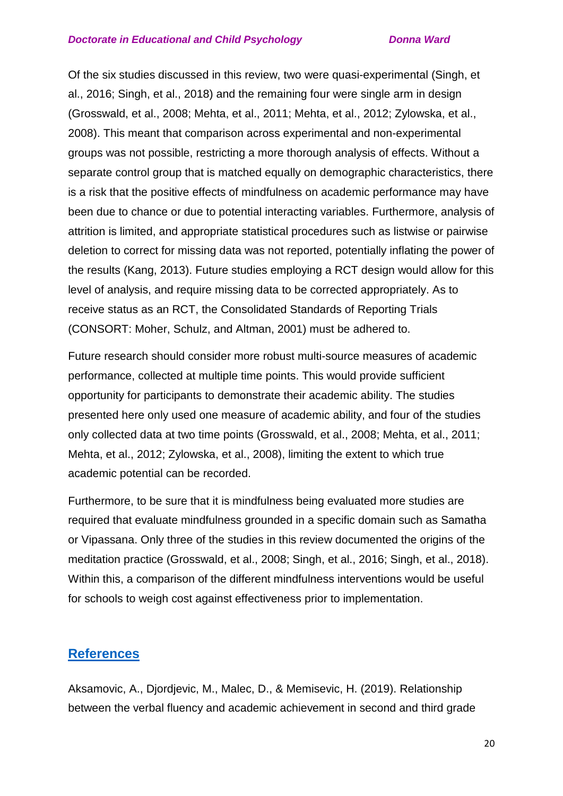#### *Doctorate in Educational and Child Psychology Donna Ward*

Of the six studies discussed in this review, two were quasi-experimental (Singh, et al., 2016; Singh, et al., 2018) and the remaining four were single arm in design (Grosswald, et al., 2008; Mehta, et al., 2011; Mehta, et al., 2012; Zylowska, et al., 2008). This meant that comparison across experimental and non-experimental groups was not possible, restricting a more thorough analysis of effects. Without a separate control group that is matched equally on demographic characteristics, there is a risk that the positive effects of mindfulness on academic performance may have been due to chance or due to potential interacting variables. Furthermore, analysis of attrition is limited, and appropriate statistical procedures such as listwise or pairwise deletion to correct for missing data was not reported, potentially inflating the power of the results (Kang, 2013). Future studies employing a RCT design would allow for this level of analysis, and require missing data to be corrected appropriately. As to receive status as an RCT, the Consolidated Standards of Reporting Trials (CONSORT: Moher, Schulz, and Altman, 2001) must be adhered to.

Future research should consider more robust multi-source measures of academic performance, collected at multiple time points. This would provide sufficient opportunity for participants to demonstrate their academic ability. The studies presented here only used one measure of academic ability, and four of the studies only collected data at two time points (Grosswald, et al., 2008; Mehta, et al., 2011; Mehta, et al., 2012; Zylowska, et al., 2008), limiting the extent to which true academic potential can be recorded.

Furthermore, to be sure that it is mindfulness being evaluated more studies are required that evaluate mindfulness grounded in a specific domain such as Samatha or Vipassana. Only three of the studies in this review documented the origins of the meditation practice (Grosswald, et al., 2008; Singh, et al., 2016; Singh, et al., 2018). Within this, a comparison of the different mindfulness interventions would be useful for schools to weigh cost against effectiveness prior to implementation.

### <span id="page-19-0"></span>**[References](#page-19-0)**

Aksamovic, A., Djordjevic, M., Malec, D., & Memisevic, H. (2019). Relationship between the verbal fluency and academic achievement in second and third grade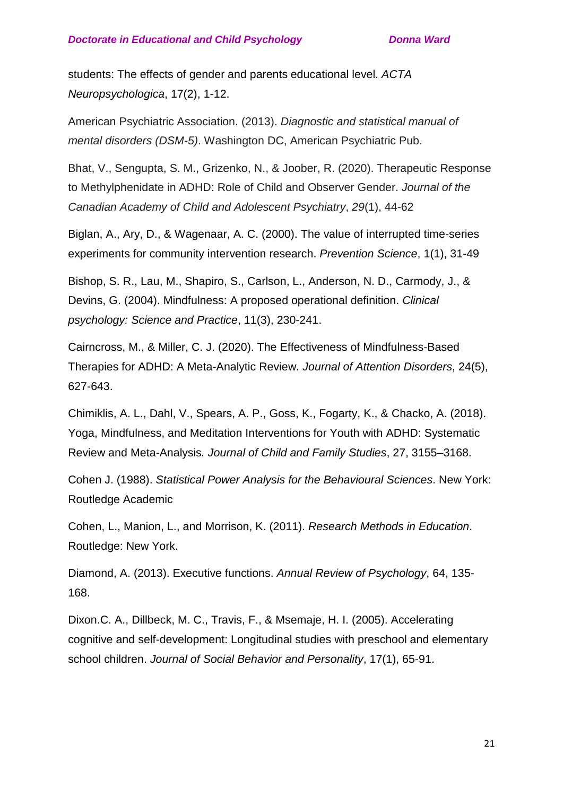students: The effects of gender and parents educational level. *ACTA Neuropsychologica*, 17(2), 1-12.

American Psychiatric Association. (2013). *Diagnostic and statistical manual of mental disorders (DSM-5)*. Washington DC, American Psychiatric Pub.

Bhat, V., Sengupta, S. M., Grizenko, N., & Joober, R. (2020). Therapeutic Response to Methylphenidate in ADHD: Role of Child and Observer Gender. *Journal of the Canadian Academy of Child and Adolescent Psychiatry*, *29*(1), 44-62

Biglan, A., Ary, D., & Wagenaar, A. C. (2000). The value of interrupted time-series experiments for community intervention research. *Prevention Science*, 1(1), 31-49

Bishop, S. R., Lau, M., Shapiro, S., Carlson, L., Anderson, N. D., Carmody, J., & Devins, G. (2004). Mindfulness: A proposed operational definition. *Clinical psychology: Science and Practice*, 11(3), 230-241.

Cairncross, M., & Miller, C. J. (2020). The Effectiveness of Mindfulness-Based Therapies for ADHD: A Meta-Analytic Review. *Journal of Attention Disorders*, 24(5), 627-643.

Chimiklis, A. L., Dahl, V., Spears, A. P., Goss, K., Fogarty, K., & Chacko, A. (2018). Yoga, Mindfulness, and Meditation Interventions for Youth with ADHD: Systematic Review and Meta-Analysis*. Journal of Child and Family Studies*, 27, 3155–3168.

Cohen J. (1988). *Statistical Power Analysis for the Behavioural Sciences*. New York: Routledge Academic

Cohen, L., Manion, L., and Morrison, K. (2011). *Research Methods in Education*. Routledge: New York.

Diamond, A. (2013). Executive functions. *Annual Review of Psychology*, 64, 135- 168.

Dixon.C. A., Dillbeck, M. C., Travis, F., & Msemaje, H. I. (2005). Accelerating cognitive and self-development: Longitudinal studies with preschool and elementary school children. *Journal of Social Behavior and Personality*, 17(1), 65-91.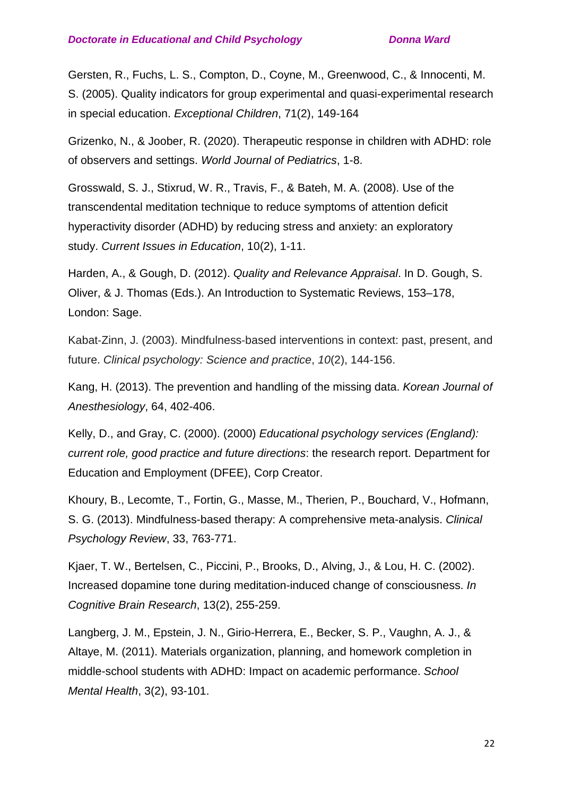Gersten, R., Fuchs, L. S., Compton, D., Coyne, M., Greenwood, C., & Innocenti, M. S. (2005). Quality indicators for group experimental and quasi-experimental research in special education. *Exceptional Children*, 71(2), 149-164

Grizenko, N., & Joober, R. (2020). Therapeutic response in children with ADHD: role of observers and settings. *World Journal of Pediatrics*, 1-8.

Grosswald, S. J., Stixrud, W. R., Travis, F., & Bateh, M. A. (2008). Use of the transcendental meditation technique to reduce symptoms of attention deficit hyperactivity disorder (ADHD) by reducing stress and anxiety: an exploratory study. *Current Issues in Education*, 10(2), 1-11.

Harden, A., & Gough, D. (2012). *Quality and Relevance Appraisal*. In D. Gough, S. Oliver, & J. Thomas (Eds.). An Introduction to Systematic Reviews, 153–178, London: Sage.

Kabat‐Zinn, J. (2003). Mindfulness‐based interventions in context: past, present, and future. *Clinical psychology: Science and practice*, *10*(2), 144-156.

Kang, H. (2013). The prevention and handling of the missing data. *Korean Journal of Anesthesiology*, 64, 402-406.

Kelly, D., and Gray, C. (2000). (2000) *Educational psychology services (England): current role, good practice and future directions*: the research report. Department for Education and Employment (DFEE), Corp Creator.

Khoury, B., Lecomte, T., Fortin, G., Masse, M., Therien, P., Bouchard, V., Hofmann, S. G. (2013). Mindfulness-based therapy: A comprehensive meta-analysis. *Clinical Psychology Review*, 33, 763-771.

Kjaer, T. W., Bertelsen, C., Piccini, P., Brooks, D., Alving, J., & Lou, H. C. (2002). Increased dopamine tone during meditation-induced change of consciousness. *In Cognitive Brain Research*, 13(2), 255-259.

Langberg, J. M., Epstein, J. N., Girio-Herrera, E., Becker, S. P., Vaughn, A. J., & Altaye, M. (2011). Materials organization, planning, and homework completion in middle-school students with ADHD: Impact on academic performance. *School Mental Health*, 3(2), 93-101.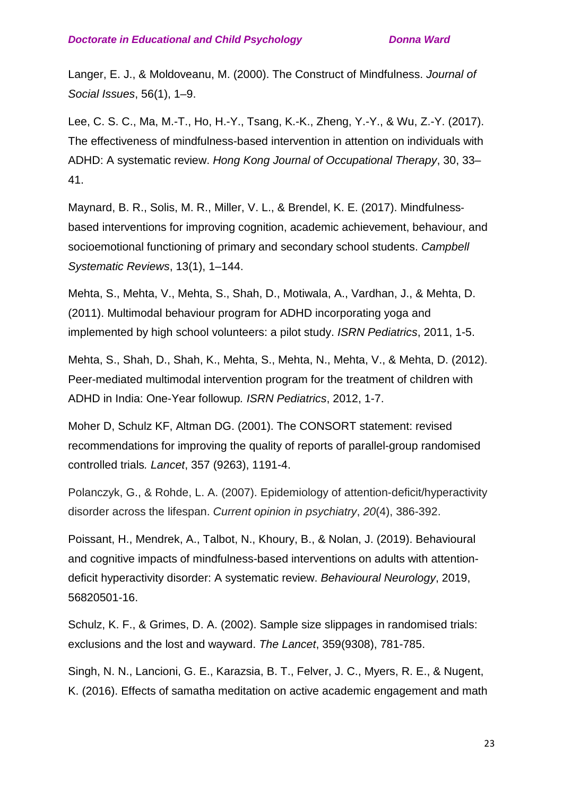Langer, E. J., & Moldoveanu, M. (2000). The Construct of Mindfulness. *Journal of Social Issues*, 56(1), 1–9.

Lee, C. S. C., Ma, M.-T., Ho, H.-Y., Tsang, K.-K., Zheng, Y.-Y., & Wu, Z.-Y. (2017). The effectiveness of mindfulness-based intervention in attention on individuals with ADHD: A systematic review. *Hong Kong Journal of Occupational Therapy*, 30, 33– 41.

Maynard, B. R., Solis, M. R., Miller, V. L., & Brendel, K. E. (2017). Mindfulness‐ based interventions for improving cognition, academic achievement, behaviour, and socioemotional functioning of primary and secondary school students. *Campbell Systematic Reviews*, 13(1), 1–144.

Mehta, S., Mehta, V., Mehta, S., Shah, D., Motiwala, A., Vardhan, J., & Mehta, D. (2011). Multimodal behaviour program for ADHD incorporating yoga and implemented by high school volunteers: a pilot study. *ISRN Pediatrics*, 2011, 1-5.

Mehta, S., Shah, D., Shah, K., Mehta, S., Mehta, N., Mehta, V., & Mehta, D. (2012). Peer-mediated multimodal intervention program for the treatment of children with ADHD in India: One-Year followup*. ISRN Pediatrics*, 2012, 1-7.

Moher D, Schulz KF, Altman DG. (2001). The CONSORT statement: revised recommendations for improving the quality of reports of parallel-group randomised controlled trials*. Lancet*, 357 (9263), 1191-4.

Polanczyk, G., & Rohde, L. A. (2007). Epidemiology of attention-deficit/hyperactivity disorder across the lifespan. *Current opinion in psychiatry*, *20*(4), 386-392.

Poissant, H., Mendrek, A., Talbot, N., Khoury, B., & Nolan, J. (2019). Behavioural and cognitive impacts of mindfulness-based interventions on adults with attentiondeficit hyperactivity disorder: A systematic review. *Behavioural Neurology*, 2019, 56820501-16.

Schulz, K. F., & Grimes, D. A. (2002). Sample size slippages in randomised trials: exclusions and the lost and wayward. *The Lancet*, 359(9308), 781-785.

Singh, N. N., Lancioni, G. E., Karazsia, B. T., Felver, J. C., Myers, R. E., & Nugent, K. (2016). Effects of samatha meditation on active academic engagement and math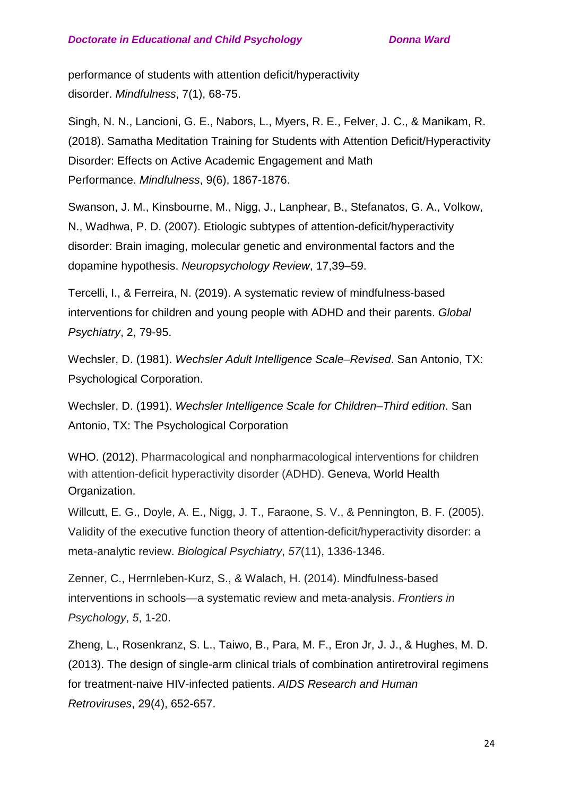performance of students with attention deficit/hyperactivity disorder. *Mindfulness*, 7(1), 68-75.

Singh, N. N., Lancioni, G. E., Nabors, L., Myers, R. E., Felver, J. C., & Manikam, R. (2018). Samatha Meditation Training for Students with Attention Deficit/Hyperactivity Disorder: Effects on Active Academic Engagement and Math Performance. *Mindfulness*, 9(6), 1867-1876.

Swanson, J. M., Kinsbourne, M., Nigg, J., Lanphear, B., Stefanatos, G. A., Volkow, N., Wadhwa, P. D. (2007). Etiologic subtypes of attention-deficit/hyperactivity disorder: Brain imaging, molecular genetic and environmental factors and the dopamine hypothesis. *Neuropsychology Review*, 17,39–59.

Tercelli, I., & Ferreira, N. (2019). A systematic review of mindfulness-based interventions for children and young people with ADHD and their parents. *Global Psychiatry*, 2, 79-95.

Wechsler, D. (1981). *Wechsler Adult Intelligence Scale–Revised*. San Antonio, TX: Psychological Corporation.

Wechsler, D. (1991). *Wechsler Intelligence Scale for Children–Third edition*. San Antonio, TX: The Psychological Corporation

WHO. (2012). Pharmacological and nonpharmacological interventions for children with attention-deficit hyperactivity disorder (ADHD). Geneva, World Health Organization.

Willcutt, E. G., Doyle, A. E., Nigg, J. T., Faraone, S. V., & Pennington, B. F. (2005). Validity of the executive function theory of attention-deficit/hyperactivity disorder: a meta-analytic review. *Biological Psychiatry*, *57*(11), 1336-1346.

Zenner, C., Herrnleben-Kurz, S., & Walach, H. (2014). Mindfulness-based interventions in schools—a systematic review and meta-analysis. *Frontiers in Psychology*, *5*, 1-20.

Zheng, L., Rosenkranz, S. L., Taiwo, B., Para, M. F., Eron Jr, J. J., & Hughes, M. D. (2013). The design of single-arm clinical trials of combination antiretroviral regimens for treatment-naive HIV-infected patients. *AIDS Research and Human Retroviruses*, 29(4), 652-657.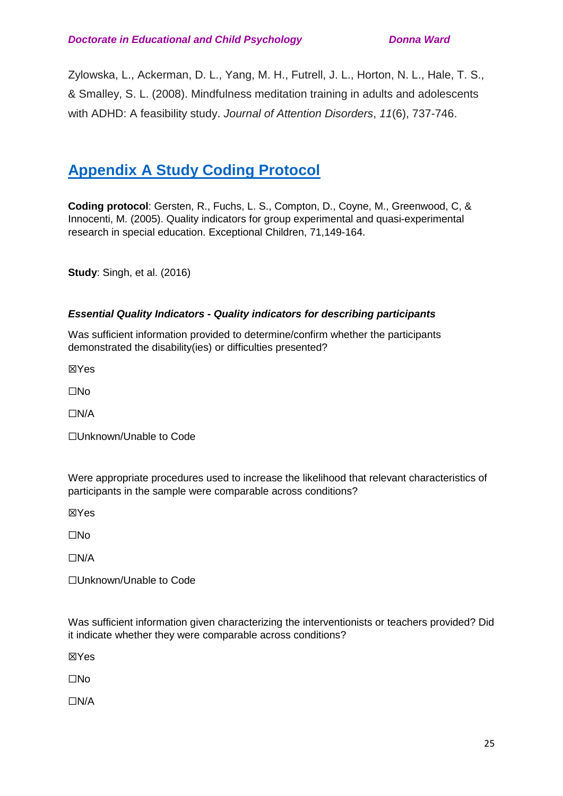Zylowska, L., Ackerman, D. L., Yang, M. H., Futrell, J. L., Horton, N. L., Hale, T. S., & Smalley, S. L. (2008). Mindfulness meditation training in adults and adolescents with ADHD: A feasibility study. *Journal of Attention Disorders*, *11*(6), 737-746.

# **[Appendix A Study Coding Protocol](https://liveuclac-my.sharepoint.com/personal/qtnvdmw_ucl_ac_uk/Documents/Case%20study%201/DONNA%20WARD%20-%20Case%20Study%201%20-%20Final%20Clean.docx)**

**Coding protocol**: Gersten, R., Fuchs, L. S., Compton, D., Coyne, M., Greenwood, C, & Innocenti, M. (2005). Quality indicators for group experimental and quasi-experimental research in special education. Exceptional Children, 71,149-164.

**Study**: Singh, et al. (2016)

#### *Essential Quality Indicators - Quality indicators for describing participants*

Was sufficient information provided to determine/confirm whether the participants demonstrated the disability(ies) or difficulties presented?

☒Yes

☐No

 $\Box$ N/A

☐Unknown/Unable to Code

Were appropriate procedures used to increase the likelihood that relevant characteristics of participants in the sample were comparable across conditions?

☒Yes

☐No

 $\Box$ N/A

☐Unknown/Unable to Code

Was sufficient information given characterizing the interventionists or teachers provided? Did it indicate whether they were comparable across conditions?

☒Yes

☐No

☐N/A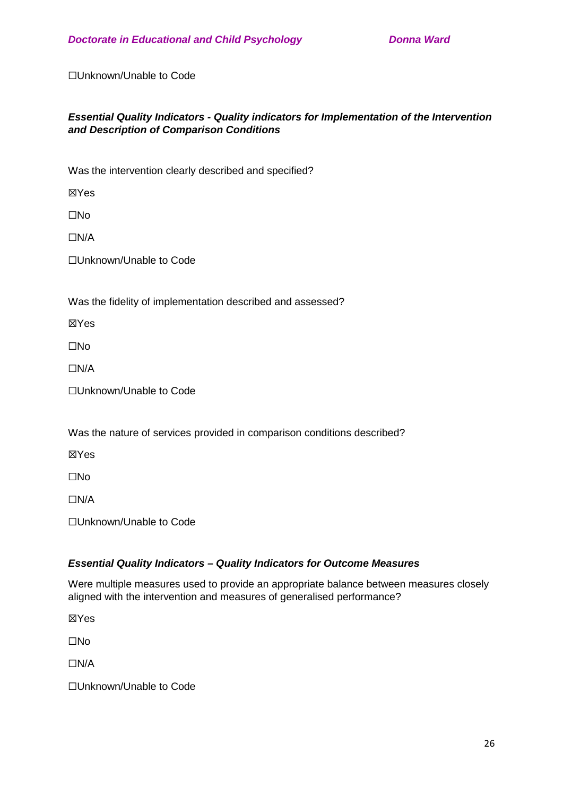☐Unknown/Unable to Code

#### *Essential Quality Indicators - Quality indicators for Implementation of the Intervention and Description of Comparison Conditions*

Was the intervention clearly described and specified?

☒Yes

☐No

☐N/A

☐Unknown/Unable to Code

Was the fidelity of implementation described and assessed?

☒Yes

☐No

☐N/A

☐Unknown/Unable to Code

Was the nature of services provided in comparison conditions described?

☒Yes

☐No

 $\Box N/A$ 

☐Unknown/Unable to Code

#### *Essential Quality Indicators – Quality Indicators for Outcome Measures*

Were multiple measures used to provide an appropriate balance between measures closely aligned with the intervention and measures of generalised performance?

☒Yes

☐No

 $\Box N/A$ 

☐Unknown/Unable to Code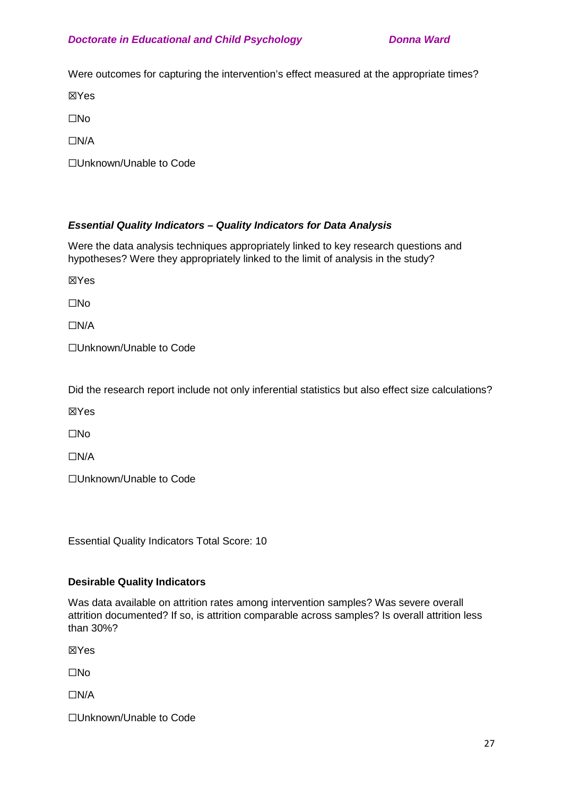Were outcomes for capturing the intervention's effect measured at the appropriate times?

☒Yes

☐No

☐N/A

☐Unknown/Unable to Code

#### *Essential Quality Indicators – Quality Indicators for Data Analysis*

Were the data analysis techniques appropriately linked to key research questions and hypotheses? Were they appropriately linked to the limit of analysis in the study?

☒Yes

☐No

☐N/A

☐Unknown/Unable to Code

Did the research report include not only inferential statistics but also effect size calculations?

☒Yes

☐No

 $\Box$ N/A

☐Unknown/Unable to Code

Essential Quality Indicators Total Score: 10

#### **Desirable Quality Indicators**

Was data available on attrition rates among intervention samples? Was severe overall attrition documented? If so, is attrition comparable across samples? Is overall attrition less than 30%?

☒Yes

☐No

☐N/A

☐Unknown/Unable to Code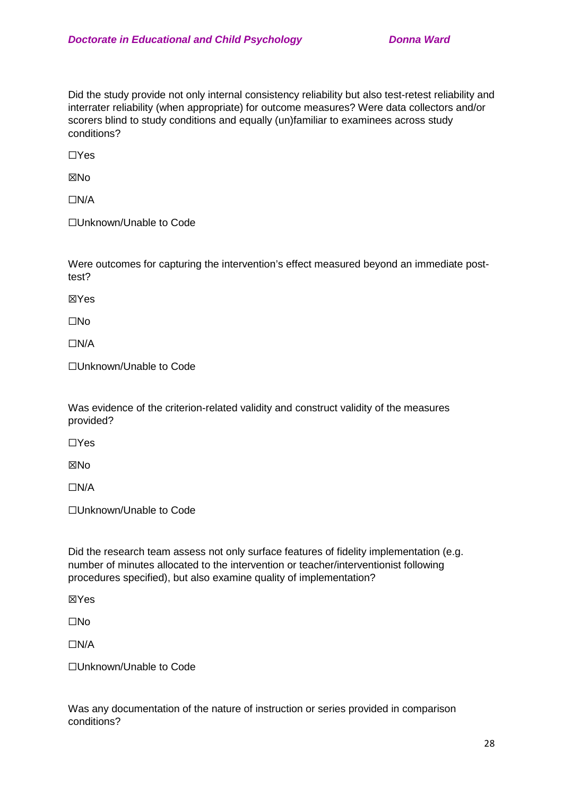Did the study provide not only internal consistency reliability but also test-retest reliability and interrater reliability (when appropriate) for outcome measures? Were data collectors and/or scorers blind to study conditions and equally (un)familiar to examinees across study conditions?

☐Yes

⊠No

 $\Box N/A$ 

☐Unknown/Unable to Code

Were outcomes for capturing the intervention's effect measured beyond an immediate posttest?

☒Yes

☐No

☐N/A

☐Unknown/Unable to Code

Was evidence of the criterion-related validity and construct validity of the measures provided?

☐Yes

**XNo** 

☐N/A

☐Unknown/Unable to Code

Did the research team assess not only surface features of fidelity implementation (e.g. number of minutes allocated to the intervention or teacher/interventionist following procedures specified), but also examine quality of implementation?

☒Yes

☐No

☐N/A

☐Unknown/Unable to Code

Was any documentation of the nature of instruction or series provided in comparison conditions?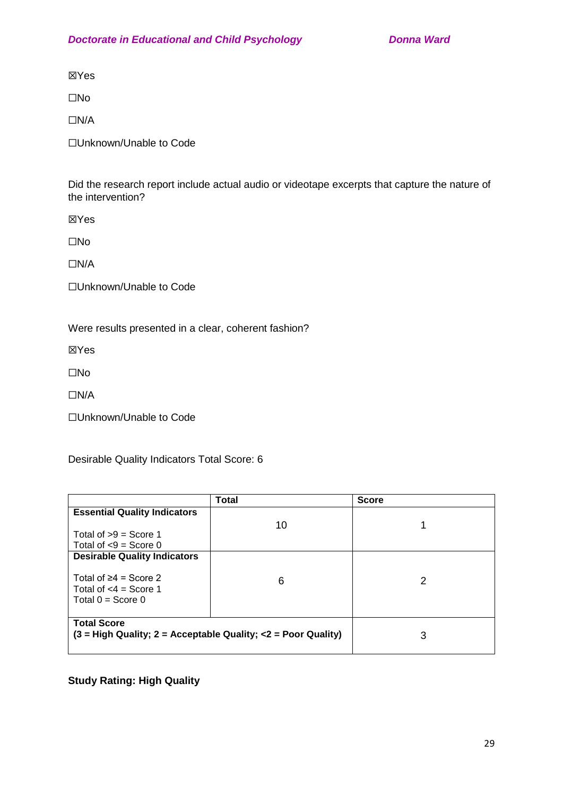☒Yes

☐No

☐N/A

☐Unknown/Unable to Code

Did the research report include actual audio or videotape excerpts that capture the nature of the intervention?

☒Yes

☐No

☐N/A

☐Unknown/Unable to Code

Were results presented in a clear, coherent fashion?

☒Yes

☐No

☐N/A

☐Unknown/Unable to Code

Desirable Quality Indicators Total Score: 6

|                                                                                       | <b>Total</b> | <b>Score</b> |
|---------------------------------------------------------------------------------------|--------------|--------------|
| <b>Essential Quality Indicators</b>                                                   |              |              |
| Total of $>9$ = Score 1                                                               | 10           |              |
| Total of $< 9$ = Score 0                                                              |              |              |
| <b>Desirable Quality Indicators</b>                                                   |              |              |
| Total of $\geq 4$ = Score 2<br>Total of $<$ 4 = Score 1<br>Total $0 =$ Score 0        | 6            | 2            |
| <b>Total Score</b><br>$(3 = High Quality; 2 = Acceptable Quality; <2 = Poor Quality)$ | 3            |              |

**Study Rating: High Quality**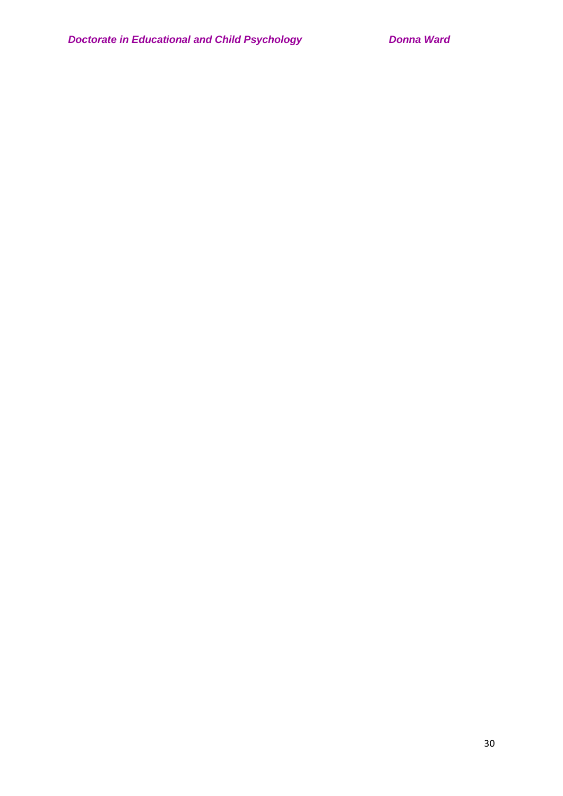30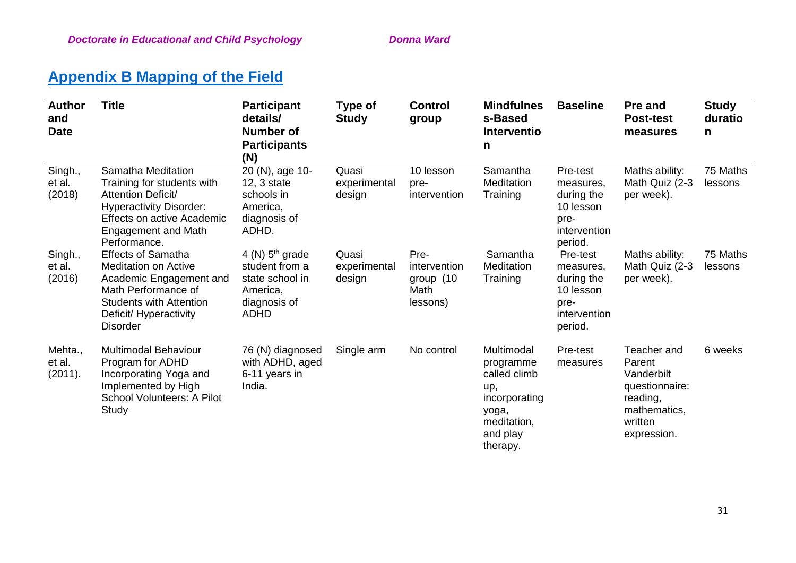# <span id="page-30-0"></span>**[Appendix B Mapping of the Field](#page-30-0)**

| <b>Author</b><br>and<br><b>Date</b> | <b>Title</b>                                                                                                                                                                              | <b>Participant</b><br>details/<br><b>Number of</b><br><b>Participants</b><br>(N)                  | Type of<br><b>Study</b>         | <b>Control</b><br>group                                 | <b>Mindfulnes</b><br>s-Based<br><b>Interventio</b><br>$\mathsf{n}$                                              | <b>Baseline</b>                                                                     | Pre and<br><b>Post-test</b><br>measures                                                                     | <b>Study</b><br>duratio<br>$\mathsf{n}$ |
|-------------------------------------|-------------------------------------------------------------------------------------------------------------------------------------------------------------------------------------------|---------------------------------------------------------------------------------------------------|---------------------------------|---------------------------------------------------------|-----------------------------------------------------------------------------------------------------------------|-------------------------------------------------------------------------------------|-------------------------------------------------------------------------------------------------------------|-----------------------------------------|
| Singh.,<br>et al.<br>(2018)         | Samatha Meditation<br>Training for students with<br>Attention Deficit/<br><b>Hyperactivity Disorder:</b><br>Effects on active Academic<br>Engagement and Math<br>Performance.             | 20 (N), age 10-<br>12, 3 state<br>schools in<br>America,<br>diagnosis of<br>ADHD.                 | Quasi<br>experimental<br>design | 10 lesson<br>pre-<br>intervention                       | Samantha<br>Meditation<br>Training                                                                              | Pre-test<br>measures,<br>during the<br>10 lesson<br>pre-<br>intervention<br>period. | Maths ability:<br>Math Quiz (2-3<br>per week).                                                              | 75 Maths<br>lessons                     |
| Singh.,<br>et al.<br>(2016)         | <b>Effects of Samatha</b><br><b>Meditation on Active</b><br>Academic Engagement and<br>Math Performance of<br><b>Students with Attention</b><br>Deficit/ Hyperactivity<br><b>Disorder</b> | 4 (N) $5th$ grade<br>student from a<br>state school in<br>America,<br>diagnosis of<br><b>ADHD</b> | Quasi<br>experimental<br>design | Pre-<br>intervention<br>group $(10$<br>Math<br>lessons) | Samantha<br>Meditation<br>Training                                                                              | Pre-test<br>measures,<br>during the<br>10 lesson<br>pre-<br>intervention<br>period. | Maths ability:<br>Math Quiz (2-3<br>per week).                                                              | 75 Maths<br>lessons                     |
| Mehta.,<br>et al.<br>(2011).        | <b>Multimodal Behaviour</b><br>Program for ADHD<br>Incorporating Yoga and<br>Implemented by High<br>School Volunteers: A Pilot<br>Study                                                   | 76 (N) diagnosed<br>with ADHD, aged<br>6-11 years in<br>India.                                    | Single arm                      | No control                                              | Multimodal<br>programme<br>called climb<br>up,<br>incorporating<br>yoga,<br>meditation,<br>and play<br>therapy. | Pre-test<br>measures                                                                | Teacher and<br>Parent<br>Vanderbilt<br>questionnaire:<br>reading,<br>mathematics,<br>written<br>expression. | 6 weeks                                 |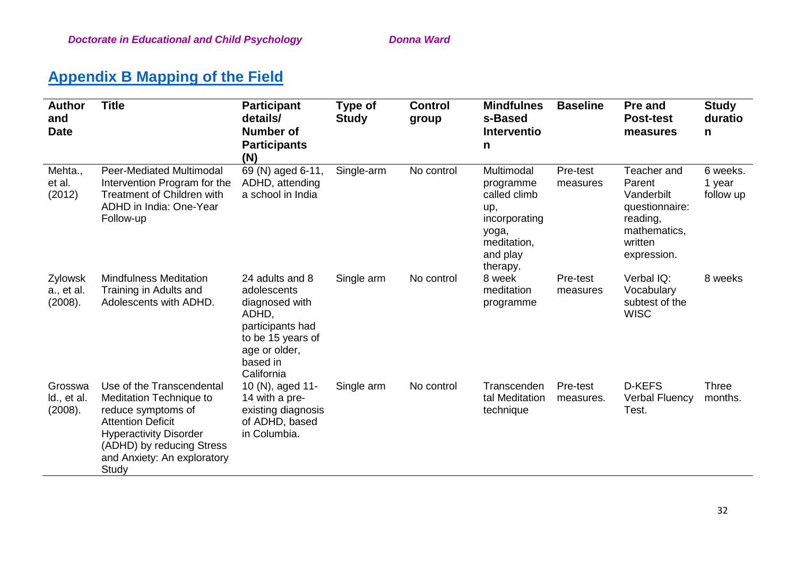# **[Appendix B Mapping of the Field](#page-30-0)**

| <b>Author</b><br>and<br><b>Date</b> | <b>Title</b>                                                                                                                                                                                                        | <b>Participant</b><br>details/<br><b>Number of</b><br><b>Participants</b><br>(N)                                                              | Type of<br><b>Study</b> | <b>Control</b><br>group | <b>Mindfulnes</b><br>s-Based<br><b>Interventio</b><br>n                                                         | <b>Baseline</b>       | Pre and<br><b>Post-test</b><br>measures                                                                     | <b>Study</b><br>duratio<br>n    |
|-------------------------------------|---------------------------------------------------------------------------------------------------------------------------------------------------------------------------------------------------------------------|-----------------------------------------------------------------------------------------------------------------------------------------------|-------------------------|-------------------------|-----------------------------------------------------------------------------------------------------------------|-----------------------|-------------------------------------------------------------------------------------------------------------|---------------------------------|
| Mehta.,<br>et al.<br>(2012)         | <b>Peer-Mediated Multimodal</b><br>Intervention Program for the<br><b>Treatment of Children with</b><br>ADHD in India: One-Year<br>Follow-up                                                                        | 69 (N) aged 6-11,<br>ADHD, attending<br>a school in India                                                                                     | Single-arm              | No control              | Multimodal<br>programme<br>called climb<br>up,<br>incorporating<br>yoga,<br>meditation,<br>and play<br>therapy. | Pre-test<br>measures  | Teacher and<br>Parent<br>Vanderbilt<br>questionnaire:<br>reading,<br>mathematics,<br>written<br>expression. | 6 weeks.<br>1 year<br>follow up |
| Zylowsk<br>a., et al.<br>(2008).    | <b>Mindfulness Meditation</b><br>Training in Adults and<br>Adolescents with ADHD.                                                                                                                                   | 24 adults and 8<br>adolescents<br>diagnosed with<br>ADHD,<br>participants had<br>to be 15 years of<br>age or older,<br>based in<br>California | Single arm              | No control              | 8 week<br>meditation<br>programme                                                                               | Pre-test<br>measures  | Verbal IQ:<br>Vocabulary<br>subtest of the<br><b>WISC</b>                                                   | 8 weeks                         |
| Grosswa<br>Id., et al.<br>(2008).   | Use of the Transcendental<br><b>Meditation Technique to</b><br>reduce symptoms of<br><b>Attention Deficit</b><br><b>Hyperactivity Disorder</b><br>(ADHD) by reducing Stress<br>and Anxiety: An exploratory<br>Study | 10 (N), aged 11-<br>14 with a pre-<br>existing diagnosis<br>of ADHD, based<br>in Columbia.                                                    | Single arm              | No control              | Transcenden<br>tal Meditation<br>technique                                                                      | Pre-test<br>measures. | <b>D-KEFS</b><br><b>Verbal Fluency</b><br>Test.                                                             | <b>Three</b><br>months.         |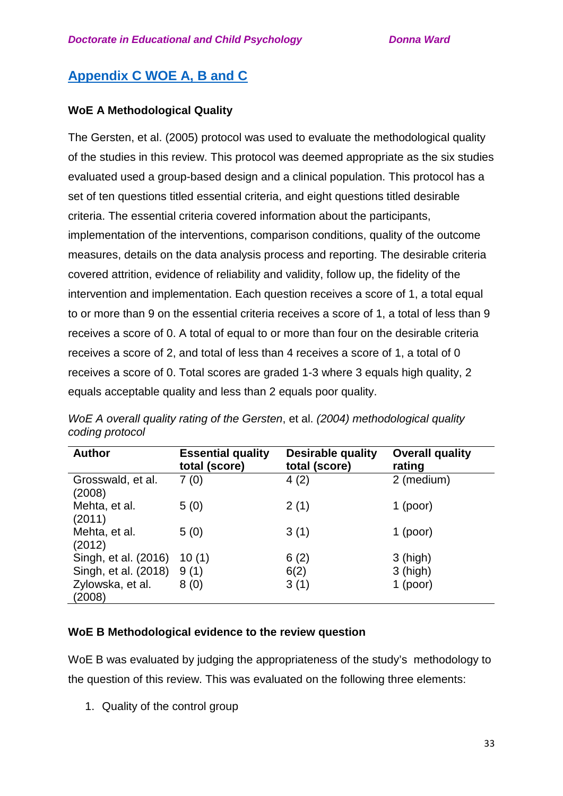# <span id="page-32-0"></span>**[Appendix C WOE A, B and C](#page-32-0)**

#### **WoE A Methodological Quality**

The Gersten, et al. (2005) protocol was used to evaluate the methodological quality of the studies in this review. This protocol was deemed appropriate as the six studies evaluated used a group-based design and a clinical population. This protocol has a set of ten questions titled essential criteria, and eight questions titled desirable criteria. The essential criteria covered information about the participants, implementation of the interventions, comparison conditions, quality of the outcome measures, details on the data analysis process and reporting. The desirable criteria covered attrition, evidence of reliability and validity, follow up, the fidelity of the intervention and implementation. Each question receives a score of 1, a total equal to or more than 9 on the essential criteria receives a score of 1, a total of less than 9 receives a score of 0. A total of equal to or more than four on the desirable criteria receives a score of 2, and total of less than 4 receives a score of 1, a total of 0 receives a score of 0. Total scores are graded 1-3 where 3 equals high quality, 2 equals acceptable quality and less than 2 equals poor quality.

| <b>Author</b>               | <b>Essential quality</b><br>total (score) | <b>Desirable quality</b><br>total (score) | <b>Overall quality</b><br>rating |
|-----------------------------|-------------------------------------------|-------------------------------------------|----------------------------------|
| Grosswald, et al.<br>(2008) | 7(0)                                      | 4(2)                                      | 2 (medium)                       |
| Mehta, et al.<br>(2011)     | 5(0)                                      | 2(1)                                      | 1 (poor)                         |
| Mehta, et al.<br>(2012)     | 5(0)                                      | 3(1)                                      | 1 (poor)                         |
| Singh, et al. (2016)        | 10(1)                                     | 6(2)                                      | $3$ (high)                       |
| Singh, et al. (2018)        | 9(1)                                      | 6(2)                                      | $3$ (high)                       |
| Zylowska, et al.<br>(2008)  | 8(0)                                      | 3(1)                                      | $1$ (poor)                       |

*WoE A overall quality rating of the Gersten*, et al. *(2004) methodological quality coding protocol*

### **WoE B Methodological evidence to the review question**

WoE B was evaluated by judging the appropriateness of the study's methodology to the question of this review. This was evaluated on the following three elements:

1. Quality of the control group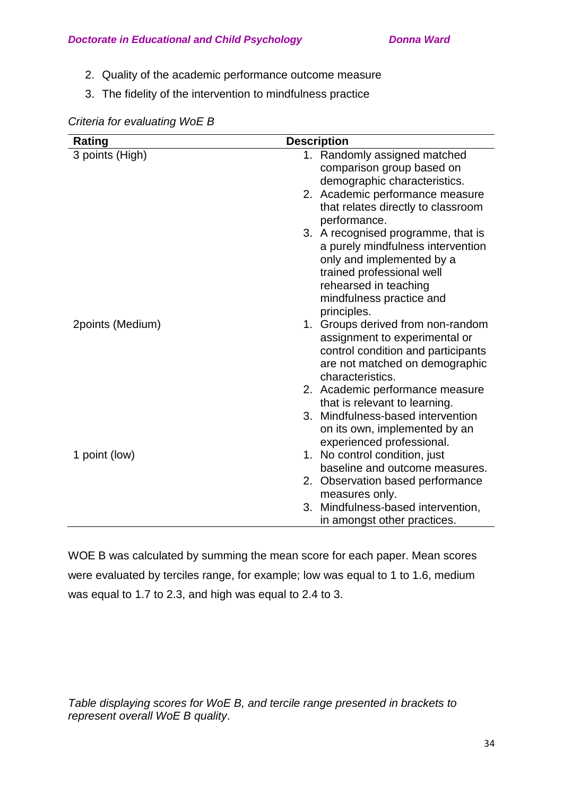- 2. Quality of the academic performance outcome measure
- 3. The fidelity of the intervention to mindfulness practice

| Rating           | <b>Description</b>                                                 |
|------------------|--------------------------------------------------------------------|
| 3 points (High)  | 1. Randomly assigned matched                                       |
|                  | comparison group based on                                          |
|                  | demographic characteristics.                                       |
|                  | 2. Academic performance measure                                    |
|                  | that relates directly to classroom                                 |
|                  | performance.                                                       |
|                  | 3. A recognised programme, that is                                 |
|                  | a purely mindfulness intervention                                  |
|                  | only and implemented by a                                          |
|                  | trained professional well                                          |
|                  | rehearsed in teaching                                              |
|                  | mindfulness practice and                                           |
|                  | principles.                                                        |
| 2points (Medium) | 1. Groups derived from non-random<br>assignment to experimental or |
|                  | control condition and participants                                 |
|                  | are not matched on demographic                                     |
|                  | characteristics.                                                   |
|                  | 2. Academic performance measure                                    |
|                  | that is relevant to learning.                                      |
|                  | 3. Mindfulness-based intervention                                  |
|                  | on its own, implemented by an                                      |
|                  | experienced professional.                                          |
| 1 point (low)    | 1. No control condition, just                                      |
|                  | baseline and outcome measures.                                     |
|                  | 2. Observation based performance                                   |
|                  | measures only.                                                     |
|                  | 3. Mindfulness-based intervention,                                 |
|                  | in amongst other practices.                                        |

#### *Criteria for evaluating WoE B*

WOE B was calculated by summing the mean score for each paper. Mean scores were evaluated by terciles range, for example; low was equal to 1 to 1.6, medium was equal to 1.7 to 2.3, and high was equal to 2.4 to 3.

*Table displaying scores for WoE B, and tercile range presented in brackets to represent overall WoE B quality*.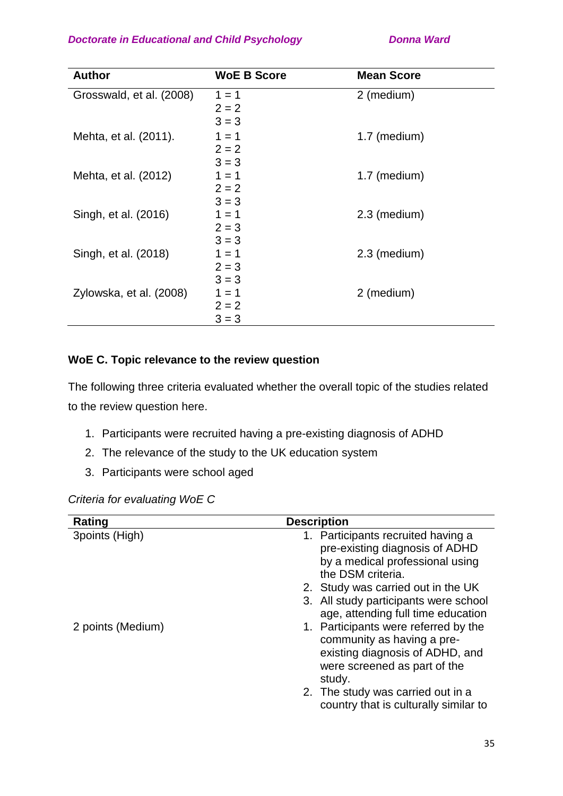#### **Doctorate in Educational and Child Psychology Child Property Donna Ward**

| <b>Author</b>            | <b>WoE B Score</b> | <b>Mean Score</b> |
|--------------------------|--------------------|-------------------|
| Grosswald, et al. (2008) | $1 = 1$            | 2 (medium)        |
|                          | $2 = 2$            |                   |
|                          | $3 = 3$            |                   |
| Mehta, et al. (2011).    | $1 = 1$            | 1.7 (medium)      |
|                          | $2 = 2$            |                   |
|                          | $3 = 3$            |                   |
| Mehta, et al. (2012)     | $1 = 1$            | 1.7 (medium)      |
|                          | $2 = 2$            |                   |
|                          | $3 = 3$            |                   |
| Singh, et al. (2016)     | $1 = 1$            | 2.3 (medium)      |
|                          | $2 = 3$            |                   |
|                          | $3 = 3$            |                   |
| Singh, et al. (2018)     | $1 = 1$            | 2.3 (medium)      |
|                          | $2 = 3$            |                   |
|                          | $3 = 3$            |                   |
| Zylowska, et al. (2008)  | $1 = 1$            | 2 (medium)        |
|                          | $2 = 2$            |                   |
|                          | $3 = 3$            |                   |

### **WoE C. Topic relevance to the review question**

The following three criteria evaluated whether the overall topic of the studies related to the review question here.

- 1. Participants were recruited having a pre-existing diagnosis of ADHD
- 2. The relevance of the study to the UK education system
- 3. Participants were school aged

*Criteria for evaluating WoE C*

| Rating            | <b>Description</b>                                                                                                                              |
|-------------------|-------------------------------------------------------------------------------------------------------------------------------------------------|
| 3points (High)    | 1. Participants recruited having a<br>pre-existing diagnosis of ADHD<br>by a medical professional using<br>the DSM criteria.                    |
|                   | 2. Study was carried out in the UK                                                                                                              |
|                   | 3. All study participants were school<br>age, attending full time education                                                                     |
| 2 points (Medium) | 1. Participants were referred by the<br>community as having a pre-<br>existing diagnosis of ADHD, and<br>were screened as part of the<br>study. |
|                   | 2. The study was carried out in a<br>country that is culturally similar to                                                                      |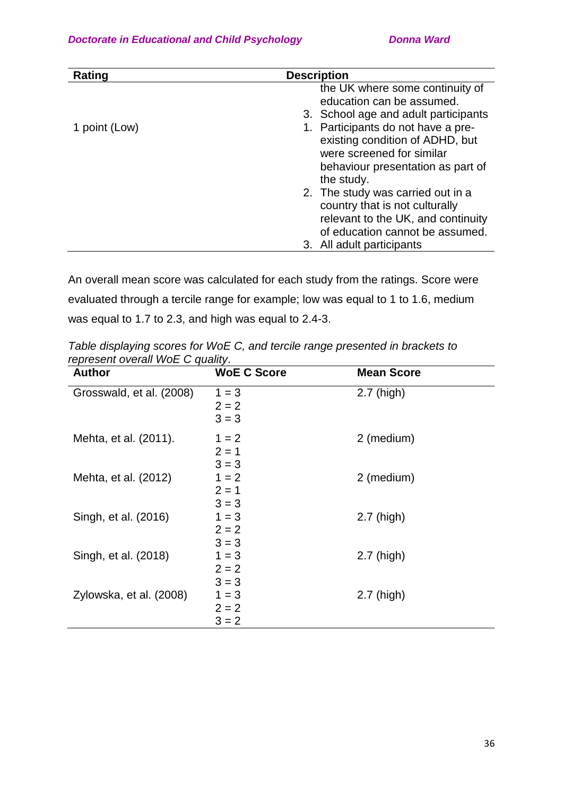| Rating        | <b>Description</b>                                                                                                                                         |  |
|---------------|------------------------------------------------------------------------------------------------------------------------------------------------------------|--|
|               | the UK where some continuity of<br>education can be assumed.                                                                                               |  |
|               | 3. School age and adult participants                                                                                                                       |  |
| 1 point (Low) | 1. Participants do not have a pre-<br>existing condition of ADHD, but<br>were screened for similar<br>behaviour presentation as part of                    |  |
|               | the study.<br>2. The study was carried out in a<br>country that is not culturally<br>relevant to the UK, and continuity<br>of education cannot be assumed. |  |
|               | 3. All adult participants                                                                                                                                  |  |

An overall mean score was calculated for each study from the ratings. Score were evaluated through a tercile range for example; low was equal to 1 to 1.6, medium was equal to 1.7 to 2.3, and high was equal to 2.4-3.

| <b>Author</b>            | <b>WoE C Score</b> | <b>Mean Score</b> |
|--------------------------|--------------------|-------------------|
| Grosswald, et al. (2008) | $1 = 3$            | $2.7$ (high)      |
|                          | $2 = 2$            |                   |
|                          | $3 = 3$            |                   |
| Mehta, et al. (2011).    | $1 = 2$            | 2 (medium)        |
|                          | $2 = 1$            |                   |
|                          | $3 = 3$            |                   |
| Mehta, et al. (2012)     | $1 = 2$            | 2 (medium)        |
|                          | $2 = 1$            |                   |
|                          | $3 = 3$            |                   |
| Singh, et al. (2016)     | $1 = 3$            | $2.7$ (high)      |
|                          | $2 = 2$            |                   |
|                          | $3 = 3$            |                   |
| Singh, et al. (2018)     | $1 = 3$            | $2.7$ (high)      |
|                          | $2 = 2$            |                   |
|                          | $3 = 3$            |                   |
| Zylowska, et al. (2008)  | $1 = 3$            | $2.7$ (high)      |
|                          | $2 = 2$            |                   |
|                          | $3 = 2$            |                   |
|                          |                    |                   |

*Table displaying scores for WoE C, and tercile range presented in brackets to represent overall WoE C quality*.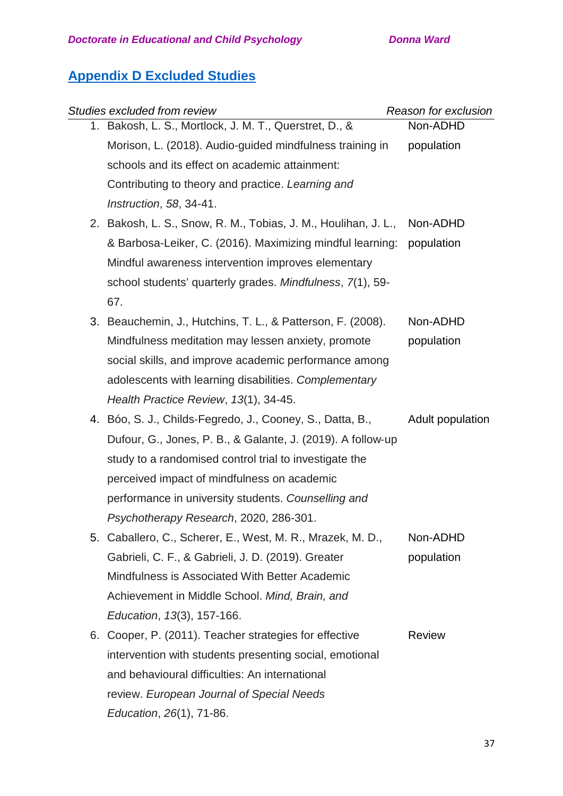# **Doctorate in Educational and Child Psychology https://www.philadellangelegational Ward**

# **[Appendix D Excluded Studies](https://liveuclac-my.sharepoint.com/personal/qtnvdmw_ucl_ac_uk/Documents/Case%20study%201/DONNA%20WARD%20-%20Case%20Study%201%20-%20Final%20Clean.docx)**

|    | Studies excluded from review                                   | Reason for exclusion |
|----|----------------------------------------------------------------|----------------------|
| 1. | Bakosh, L. S., Mortlock, J. M. T., Querstret, D., &            | Non-ADHD             |
|    | Morison, L. (2018). Audio-guided mindfulness training in       | population           |
|    | schools and its effect on academic attainment:                 |                      |
|    | Contributing to theory and practice. Learning and              |                      |
|    | Instruction, 58, 34-41.                                        |                      |
|    | 2. Bakosh, L. S., Snow, R. M., Tobias, J. M., Houlihan, J. L., | Non-ADHD             |
|    | & Barbosa-Leiker, C. (2016). Maximizing mindful learning:      | population           |
|    | Mindful awareness intervention improves elementary             |                      |
|    | school students' quarterly grades. Mindfulness, 7(1), 59-      |                      |
|    | 67.                                                            |                      |
|    | 3. Beauchemin, J., Hutchins, T. L., & Patterson, F. (2008).    | Non-ADHD             |
|    | Mindfulness meditation may lessen anxiety, promote             | population           |
|    | social skills, and improve academic performance among          |                      |
|    | adolescents with learning disabilities. Complementary          |                      |
|    | Health Practice Review, 13(1), 34-45.                          |                      |
|    | 4. Bóo, S. J., Childs-Fegredo, J., Cooney, S., Datta, B.,      | Adult population     |
|    | Dufour, G., Jones, P. B., & Galante, J. (2019). A follow-up    |                      |
|    | study to a randomised control trial to investigate the         |                      |
|    | perceived impact of mindfulness on academic                    |                      |
|    | performance in university students. Counselling and            |                      |
|    | Psychotherapy Research, 2020, 286-301.                         |                      |
|    | 5. Caballero, C., Scherer, E., West, M. R., Mrazek, M. D.,     | Non-ADHD             |
|    | Gabrieli, C. F., & Gabrieli, J. D. (2019). Greater             | population           |
|    | Mindfulness is Associated With Better Academic                 |                      |
|    | Achievement in Middle School. Mind, Brain, and                 |                      |
|    | Education, 13(3), 157-166.                                     |                      |
|    | 6. Cooper, P. (2011). Teacher strategies for effective         | <b>Review</b>        |
|    | intervention with students presenting social, emotional        |                      |
|    | and behavioural difficulties: An international                 |                      |
|    | review. European Journal of Special Needs                      |                      |
|    | Education, 26(1), 71-86.                                       |                      |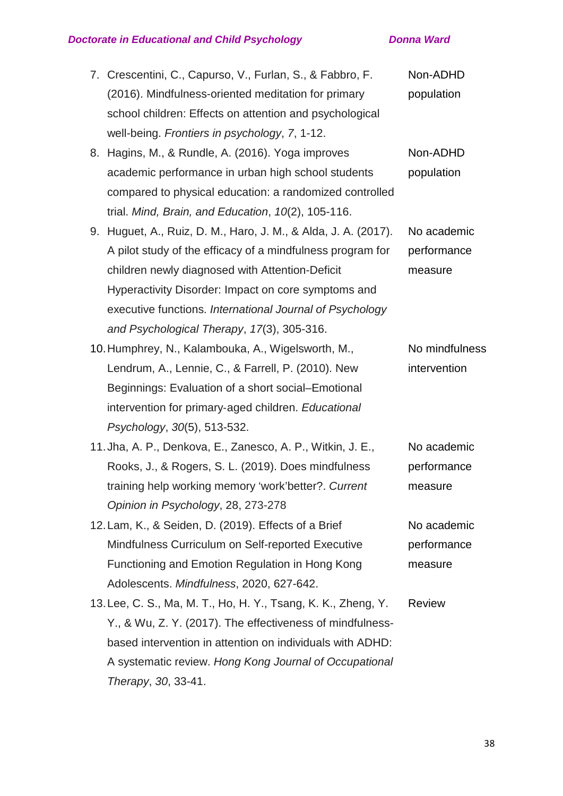# **Doctorate in Educational and Child Psychology https://www.philadellangelegational Ward**

|    | 7. Crescentini, C., Capurso, V., Furlan, S., & Fabbro, F.<br>(2016). Mindfulness-oriented meditation for primary<br>school children: Effects on attention and psychological<br>well-being. Frontiers in psychology, 7, 1-12. | Non-ADHD<br>population |
|----|------------------------------------------------------------------------------------------------------------------------------------------------------------------------------------------------------------------------------|------------------------|
| 8. | Hagins, M., & Rundle, A. (2016). Yoga improves                                                                                                                                                                               | Non-ADHD               |
|    | academic performance in urban high school students                                                                                                                                                                           | population             |
|    | compared to physical education: a randomized controlled                                                                                                                                                                      |                        |
|    | trial. Mind, Brain, and Education, 10(2), 105-116.                                                                                                                                                                           |                        |
| 9. | Huguet, A., Ruiz, D. M., Haro, J. M., & Alda, J. A. (2017).                                                                                                                                                                  | No academic            |
|    | A pilot study of the efficacy of a mindfulness program for                                                                                                                                                                   | performance            |
|    | children newly diagnosed with Attention-Deficit                                                                                                                                                                              | measure                |
|    | Hyperactivity Disorder: Impact on core symptoms and                                                                                                                                                                          |                        |
|    | executive functions. International Journal of Psychology                                                                                                                                                                     |                        |
|    | and Psychological Therapy, 17(3), 305-316.                                                                                                                                                                                   |                        |
|    | 10. Humphrey, N., Kalambouka, A., Wigelsworth, M.,                                                                                                                                                                           | No mindfulness         |
|    | Lendrum, A., Lennie, C., & Farrell, P. (2010). New                                                                                                                                                                           | intervention           |
|    | Beginnings: Evaluation of a short social–Emotional                                                                                                                                                                           |                        |
|    | intervention for primary-aged children. Educational                                                                                                                                                                          |                        |
|    | Psychology, 30(5), 513-532.                                                                                                                                                                                                  |                        |
|    | 11. Jha, A. P., Denkova, E., Zanesco, A. P., Witkin, J. E.,                                                                                                                                                                  | No academic            |
|    | Rooks, J., & Rogers, S. L. (2019). Does mindfulness                                                                                                                                                                          | performance            |
|    | training help working memory 'work'better?. Current                                                                                                                                                                          | measure                |
|    | Opinion in Psychology, 28, 273-278                                                                                                                                                                                           |                        |
|    | 12. Lam, K., & Seiden, D. (2019). Effects of a Brief                                                                                                                                                                         | No academic            |
|    | Mindfulness Curriculum on Self-reported Executive                                                                                                                                                                            | performance            |
|    | Functioning and Emotion Regulation in Hong Kong                                                                                                                                                                              | measure                |
|    | Adolescents. Mindfulness, 2020, 627-642.                                                                                                                                                                                     |                        |
|    | 13. Lee, C. S., Ma, M. T., Ho, H. Y., Tsang, K. K., Zheng, Y.                                                                                                                                                                | <b>Review</b>          |
|    | Y., & Wu, Z. Y. (2017). The effectiveness of mindfulness-                                                                                                                                                                    |                        |
|    | based intervention in attention on individuals with ADHD:                                                                                                                                                                    |                        |
|    | A systematic review. Hong Kong Journal of Occupational                                                                                                                                                                       |                        |
|    | Therapy, 30, 33-41.                                                                                                                                                                                                          |                        |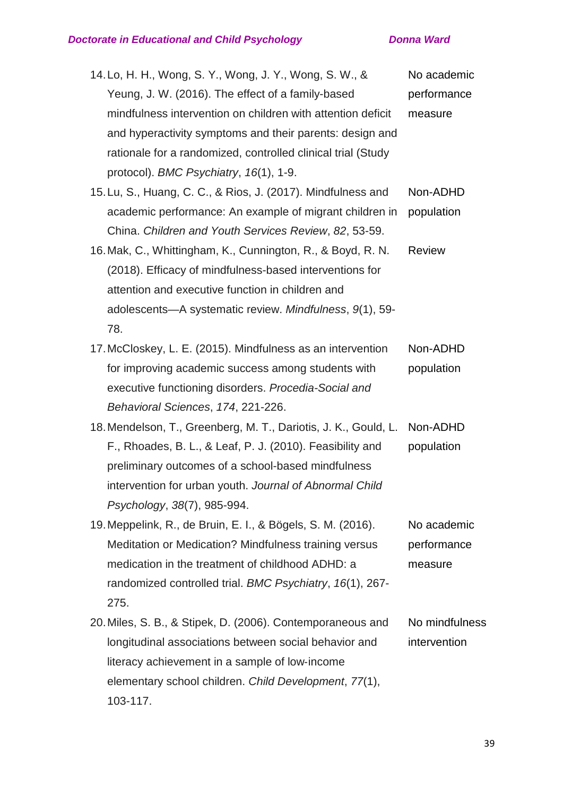| 14. Lo, H. H., Wong, S. Y., Wong, J. Y., Wong, S. W., &<br>Yeung, J. W. (2016). The effect of a family-based<br>mindfulness intervention on children with attention deficit<br>and hyperactivity symptoms and their parents: design and<br>rationale for a randomized, controlled clinical trial (Study<br>protocol). BMC Psychiatry, 16(1), 1-9. | No academic<br>performance<br>measure |
|---------------------------------------------------------------------------------------------------------------------------------------------------------------------------------------------------------------------------------------------------------------------------------------------------------------------------------------------------|---------------------------------------|
| 15. Lu, S., Huang, C. C., & Rios, J. (2017). Mindfulness and                                                                                                                                                                                                                                                                                      | Non-ADHD                              |
| academic performance: An example of migrant children in                                                                                                                                                                                                                                                                                           | population                            |
| China. Children and Youth Services Review, 82, 53-59.                                                                                                                                                                                                                                                                                             |                                       |
| 16. Mak, C., Whittingham, K., Cunnington, R., & Boyd, R. N.                                                                                                                                                                                                                                                                                       | <b>Review</b>                         |
| (2018). Efficacy of mindfulness-based interventions for                                                                                                                                                                                                                                                                                           |                                       |
| attention and executive function in children and                                                                                                                                                                                                                                                                                                  |                                       |
| adolescents-A systematic review. Mindfulness, 9(1), 59-                                                                                                                                                                                                                                                                                           |                                       |
| 78.                                                                                                                                                                                                                                                                                                                                               |                                       |
| 17. McCloskey, L. E. (2015). Mindfulness as an intervention                                                                                                                                                                                                                                                                                       | Non-ADHD                              |
| for improving academic success among students with                                                                                                                                                                                                                                                                                                | population                            |
| executive functioning disorders. Procedia-Social and                                                                                                                                                                                                                                                                                              |                                       |
| Behavioral Sciences, 174, 221-226.                                                                                                                                                                                                                                                                                                                |                                       |
| 18. Mendelson, T., Greenberg, M. T., Dariotis, J. K., Gould, L.                                                                                                                                                                                                                                                                                   | Non-ADHD                              |
| F., Rhoades, B. L., & Leaf, P. J. (2010). Feasibility and                                                                                                                                                                                                                                                                                         | population                            |
| preliminary outcomes of a school-based mindfulness                                                                                                                                                                                                                                                                                                |                                       |
| intervention for urban youth. Journal of Abnormal Child                                                                                                                                                                                                                                                                                           |                                       |
| Psychology, 38(7), 985-994.                                                                                                                                                                                                                                                                                                                       |                                       |
| 19. Meppelink, R., de Bruin, E. I., & Bögels, S. M. (2016).                                                                                                                                                                                                                                                                                       | No academic                           |
| Meditation or Medication? Mindfulness training versus                                                                                                                                                                                                                                                                                             | performance                           |
| medication in the treatment of childhood ADHD: a                                                                                                                                                                                                                                                                                                  | measure                               |
| randomized controlled trial. BMC Psychiatry, 16(1), 267-                                                                                                                                                                                                                                                                                          |                                       |
| 275.                                                                                                                                                                                                                                                                                                                                              |                                       |
| 20. Miles, S. B., & Stipek, D. (2006). Contemporaneous and                                                                                                                                                                                                                                                                                        | No mindfulness                        |
| longitudinal associations between social behavior and                                                                                                                                                                                                                                                                                             | intervention                          |
| literacy achievement in a sample of low-income                                                                                                                                                                                                                                                                                                    |                                       |
| elementary school children. Child Development, 77(1),                                                                                                                                                                                                                                                                                             |                                       |
| 103-117.                                                                                                                                                                                                                                                                                                                                          |                                       |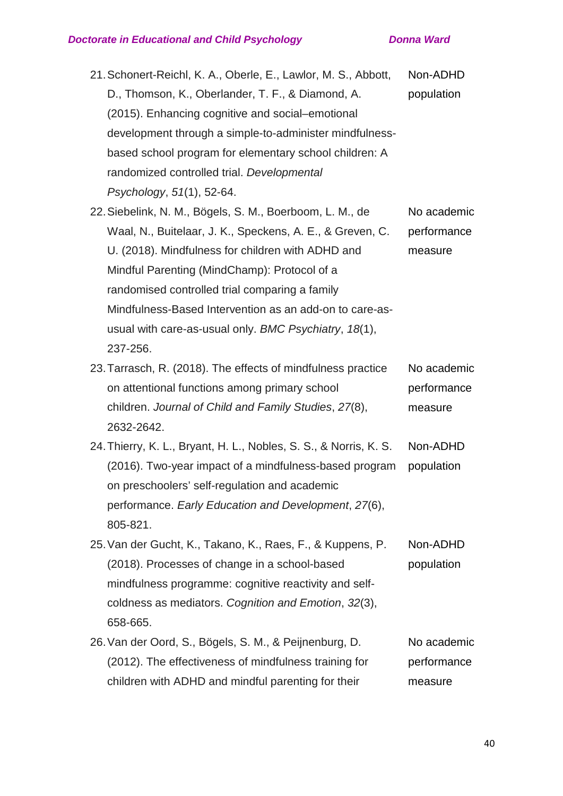| 21. Schonert-Reichl, K. A., Oberle, E., Lawlor, M. S., Abbott,    | Non-ADHD    |
|-------------------------------------------------------------------|-------------|
| D., Thomson, K., Oberlander, T. F., & Diamond, A.                 | population  |
| (2015). Enhancing cognitive and social–emotional                  |             |
| development through a simple-to-administer mindfulness-           |             |
| based school program for elementary school children: A            |             |
| randomized controlled trial. Developmental                        |             |
| Psychology, 51(1), 52-64.                                         |             |
| 22. Siebelink, N. M., Bögels, S. M., Boerboom, L. M., de          | No academic |
| Waal, N., Buitelaar, J. K., Speckens, A. E., & Greven, C.         | performance |
| U. (2018). Mindfulness for children with ADHD and                 | measure     |
| Mindful Parenting (MindChamp): Protocol of a                      |             |
| randomised controlled trial comparing a family                    |             |
| Mindfulness-Based Intervention as an add-on to care-as-           |             |
| usual with care-as-usual only. BMC Psychiatry, 18(1),             |             |
| 237-256.                                                          |             |
| 23. Tarrasch, R. (2018). The effects of mindfulness practice      | No academic |
| on attentional functions among primary school                     | performance |
| children. Journal of Child and Family Studies, 27(8),             | measure     |
| 2632-2642.                                                        |             |
| 24. Thierry, K. L., Bryant, H. L., Nobles, S. S., & Norris, K. S. | Non-ADHD    |
| (2016). Two-year impact of a mindfulness-based program            | population  |
| on preschoolers' self-regulation and academic                     |             |
| performance. Early Education and Development, 27(6),              |             |
| 805-821.                                                          |             |
| 25. Van der Gucht, K., Takano, K., Raes, F., & Kuppens, P.        | Non-ADHD    |
| (2018). Processes of change in a school-based                     | population  |
| mindfulness programme: cognitive reactivity and self-             |             |
| coldness as mediators. Cognition and Emotion, 32(3),              |             |
| 658-665.                                                          |             |
| 26. Van der Oord, S., Bögels, S. M., & Peijnenburg, D.            | No academic |
| (2012). The effectiveness of mindfulness training for             | performance |
| children with ADHD and mindful parenting for their                | measure     |